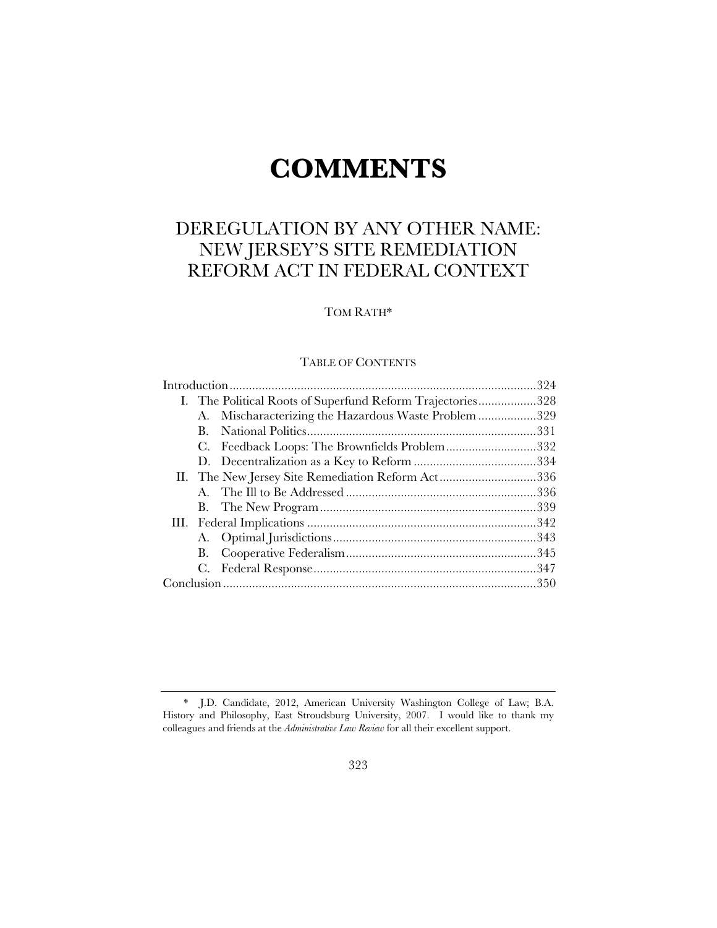# **COMMENTS**

# DEREGULATION BY ANY OTHER NAME: NEW JERSEY'S SITE REMEDIATION REFORM ACT IN FEDERAL CONTEXT

# TOM RATH\*

# TABLE OF CONTENTS

|  |                                                   | I. The Political Roots of Superfund Reform Trajectories328 |  |
|--|---------------------------------------------------|------------------------------------------------------------|--|
|  |                                                   | A. Mischaracterizing the Hazardous Waste Problem 329       |  |
|  | В.                                                |                                                            |  |
|  |                                                   | C. Feedback Loops: The Brownfields Problem332              |  |
|  |                                                   |                                                            |  |
|  | II. The New Jersey Site Remediation Reform Act336 |                                                            |  |
|  |                                                   |                                                            |  |
|  |                                                   |                                                            |  |
|  |                                                   |                                                            |  |
|  |                                                   |                                                            |  |
|  |                                                   |                                                            |  |
|  |                                                   |                                                            |  |
|  |                                                   |                                                            |  |

<sup>\*</sup> J.D. Candidate, 2012, American University Washington College of Law; B.A. History and Philosophy, East Stroudsburg University, 2007. I would like to thank my colleagues and friends at the *Administrative Law Review* for all their excellent support.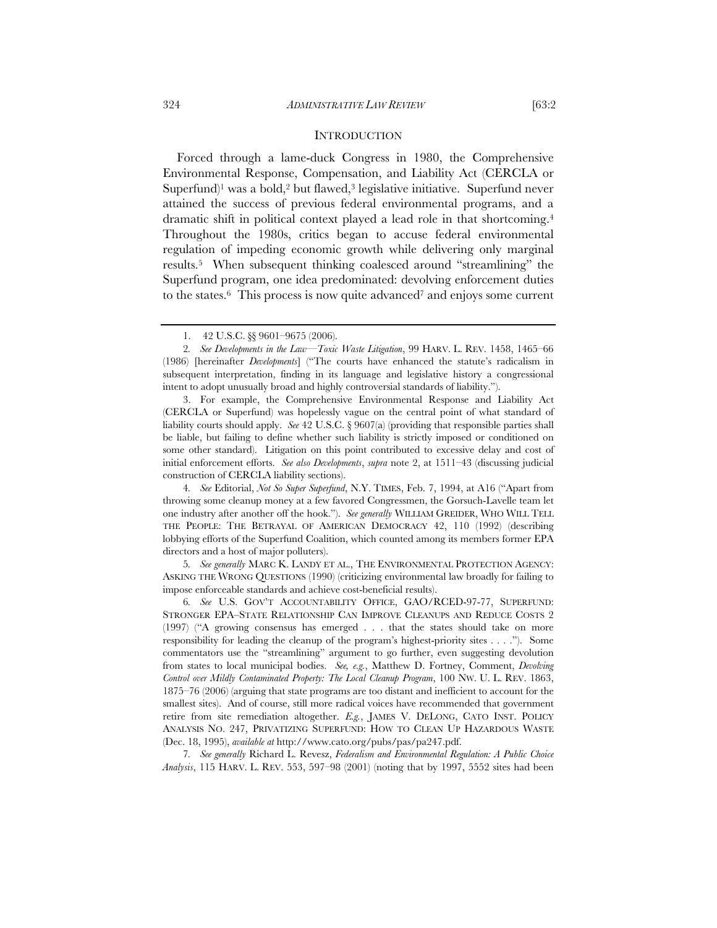Forced through a lame-duck Congress in 1980, the Comprehensive Environmental Response, Compensation, and Liability Act (CERCLA or Superfund)<sup>1</sup> was a bold,<sup>2</sup> but flawed,<sup>3</sup> legislative initiative. Superfund never attained the success of previous federal environmental programs, and a dramatic shift in political context played a lead role in that shortcoming.4 Throughout the 1980s, critics began to accuse federal environmental regulation of impeding economic growth while delivering only marginal results.5 When subsequent thinking coalesced around "streamlining" the Superfund program, one idea predominated: devolving enforcement duties to the states.<sup>6</sup> This process is now quite advanced<sup>7</sup> and enjoys some current

3. For example, the Comprehensive Environmental Response and Liability Act (CERCLA or Superfund) was hopelessly vague on the central point of what standard of liability courts should apply. *See* 42 U.S.C. § 9607(a) (providing that responsible parties shall be liable, but failing to define whether such liability is strictly imposed or conditioned on some other standard). Litigation on this point contributed to excessive delay and cost of initial enforcement efforts. *See also Developments*, *supra* note 2, at 1511–43 (discussing judicial construction of CERCLA liability sections).

4*. See* Editorial, *Not So Super Superfund*, N.Y. TIMES, Feb. 7, 1994, at A16 ("Apart from throwing some cleanup money at a few favored Congressmen, the Gorsuch-Lavelle team let one industry after another off the hook."). *See generally* WILLIAM GREIDER, WHO WILL TELL THE PEOPLE: THE BETRAYAL OF AMERICAN DEMOCRACY 42, 110 (1992) (describing lobbying efforts of the Superfund Coalition, which counted among its members former EPA directors and a host of major polluters).

5*. See generally* MARC K. LANDY ET AL., THE ENVIRONMENTAL PROTECTION AGENCY: ASKING THE WRONG QUESTIONS (1990) (criticizing environmental law broadly for failing to impose enforceable standards and achieve cost-beneficial results).

6*. See* U.S. GOV'T ACCOUNTABILITY OFFICE, GAO/RCED-97-77, SUPERFUND: STRONGER EPA–STATE RELATIONSHIP CAN IMPROVE CLEANUPS AND REDUCE COSTS 2 (1997) ("A growing consensus has emerged . . . that the states should take on more responsibility for leading the cleanup of the program's highest-priority sites . . . ."). Some commentators use the "streamlining" argument to go further, even suggesting devolution from states to local municipal bodies. *See, e.g.*, Matthew D. Fortney, Comment, *Devolving Control over Mildly Contaminated Property: The Local Cleanup Program*, 100 NW. U. L. REV. 1863, 1875–76 (2006) (arguing that state programs are too distant and inefficient to account for the smallest sites). And of course, still more radical voices have recommended that government retire from site remediation altogether. *E.g.*, JAMES V. DELONG, CATO INST. POLICY ANALYSIS NO. 247, PRIVATIZING SUPERFUND: HOW TO CLEAN UP HAZARDOUS WASTE (Dec. 18, 1995), *available at* http://www.cato.org/pubs/pas/pa247.pdf.

7*. See generally* Richard L. Revesz, *Federalism and Environmental Regulation: A Public Choice Analysis*, 115 HARV. L. REV. 553, 597–98 (2001) (noting that by 1997, 5552 sites had been

<sup>1. 42</sup> U.S.C. §§ 9601–9675 (2006).

<sup>2</sup>*. See Developments in the Law—Toxic Waste Litigation*, 99 HARV. L. REV. 1458, 1465–66 (1986) [hereinafter *Developments*] ("The courts have enhanced the statute's radicalism in subsequent interpretation, finding in its language and legislative history a congressional intent to adopt unusually broad and highly controversial standards of liability.").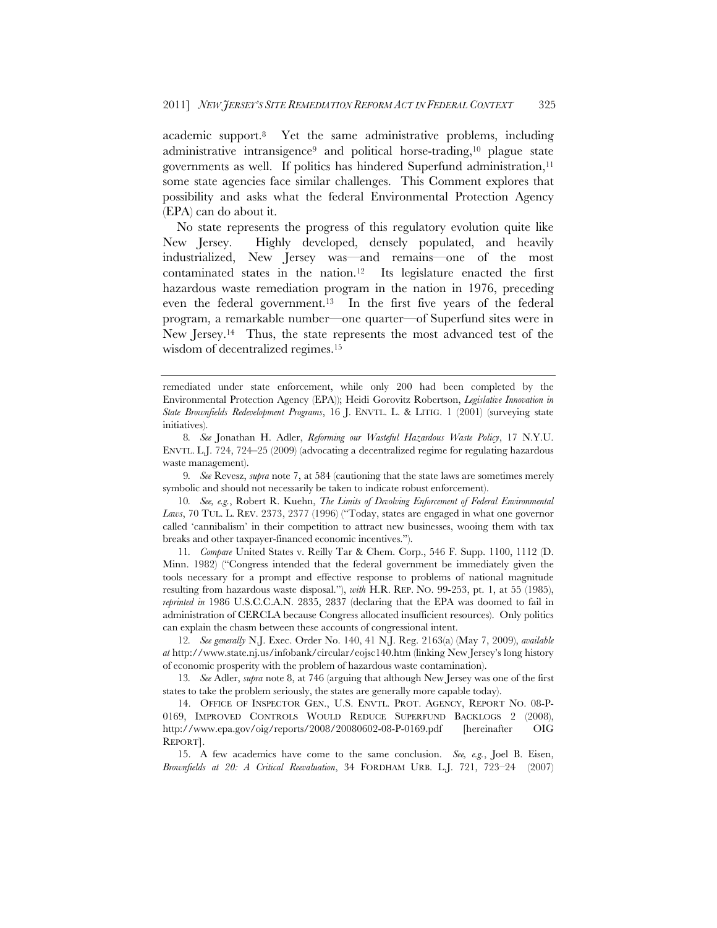academic support.8 Yet the same administrative problems, including administrative intransigence<sup>9</sup> and political horse-trading,<sup>10</sup> plague state governments as well. If politics has hindered Superfund administration,<sup>11</sup> some state agencies face similar challenges. This Comment explores that possibility and asks what the federal Environmental Protection Agency (EPA) can do about it.

No state represents the progress of this regulatory evolution quite like New Jersey. Highly developed, densely populated, and heavily industrialized, New Jersey was—and remains—one of the most contaminated states in the nation.12 Its legislature enacted the first hazardous waste remediation program in the nation in 1976, preceding even the federal government.13 In the first five years of the federal program, a remarkable number—one quarter—of Superfund sites were in New Jersey.<sup>14</sup> Thus, the state represents the most advanced test of the wisdom of decentralized regimes.15

9*. See* Revesz, *supra* note 7, at 584 (cautioning that the state laws are sometimes merely symbolic and should not necessarily be taken to indicate robust enforcement).

10*. See, e.g.*, Robert R. Kuehn, *The Limits of Devolving Enforcement of Federal Environmental Laws*, 70 TUL. L. REV. 2373, 2377 (1996) ("Today, states are engaged in what one governor called 'cannibalism' in their competition to attract new businesses, wooing them with tax breaks and other taxpayer-financed economic incentives.").

11*. Compare* United States v. Reilly Tar & Chem. Corp., 546 F. Supp. 1100, 1112 (D. Minn. 1982) ("Congress intended that the federal government be immediately given the tools necessary for a prompt and effective response to problems of national magnitude resulting from hazardous waste disposal."), *with* H.R. REP. NO. 99-253, pt. 1, at 55 (1985), *reprinted in* 1986 U.S.C.C.A.N. 2835, 2837 (declaring that the EPA was doomed to fail in administration of CERCLA because Congress allocated insufficient resources). Only politics can explain the chasm between these accounts of congressional intent.

12*. See generally* N.J. Exec. Order No. 140, 41 N.J. Reg. 2163(a) (May 7, 2009), *available at* http://www.state.nj.us/infobank/circular/eojsc140.htm (linking New Jersey's long history of economic prosperity with the problem of hazardous waste contamination).

13*. See* Adler, *supra* note 8, at 746 (arguing that although New Jersey was one of the first states to take the problem seriously, the states are generally more capable today).

14. OFFICE OF INSPECTOR GEN., U.S. ENVTL. PROT. AGENCY, REPORT NO. 08-P-0169, IMPROVED CONTROLS WOULD REDUCE SUPERFUND BACKLOGS 2 (2008), http://www.epa.gov/oig/reports/2008/20080602-08-P-0169.pdf [hereinafter OIG REPORT].

15. A few academics have come to the same conclusion. *See, e.g.*, Joel B. Eisen, *Brownfields at 20: A Critical Reevaluation*, 34 FORDHAM URB. L.J. 721, 723–24 (2007)

remediated under state enforcement, while only 200 had been completed by the Environmental Protection Agency (EPA)); Heidi Gorovitz Robertson, *Legislative Innovation in State Brownfields Redevelopment Programs*, 16 J. ENVTL. L. & LITIG. 1 (2001) (surveying state initiatives).

<sup>8</sup>*. See* Jonathan H. Adler, *Reforming our Wasteful Hazardous Waste Policy*, 17 N.Y.U. ENVTL. L.J. 724, 724–25 (2009) (advocating a decentralized regime for regulating hazardous waste management).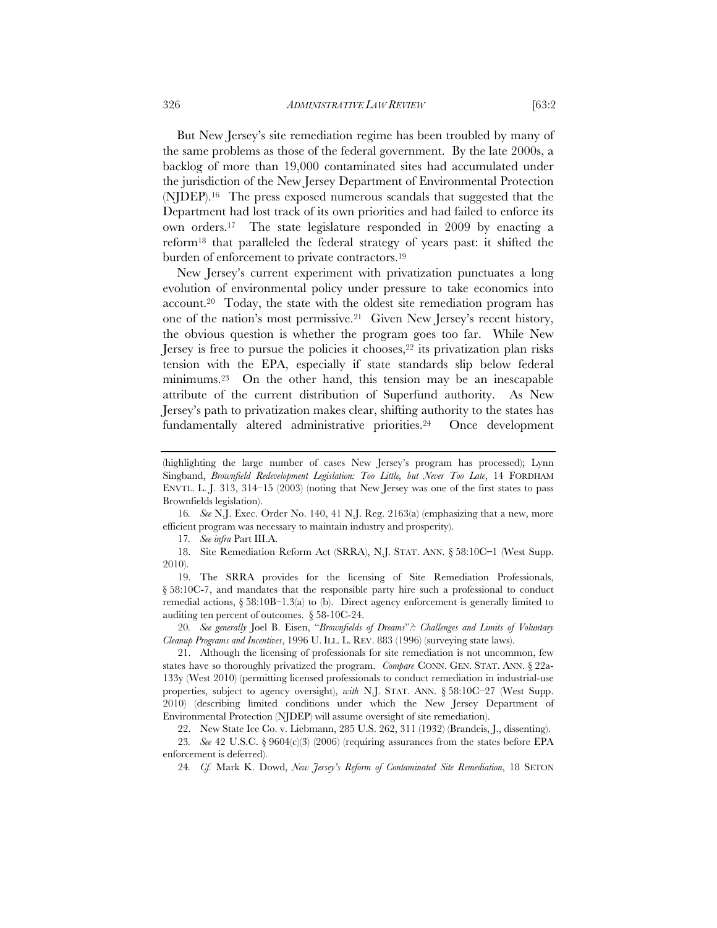But New Jersey's site remediation regime has been troubled by many of the same problems as those of the federal government. By the late 2000s, a backlog of more than 19,000 contaminated sites had accumulated under the jurisdiction of the New Jersey Department of Environmental Protection (NJDEP).16 The press exposed numerous scandals that suggested that the Department had lost track of its own priorities and had failed to enforce its own orders.17 The state legislature responded in 2009 by enacting a reform18 that paralleled the federal strategy of years past: it shifted the burden of enforcement to private contractors.19

New Jersey's current experiment with privatization punctuates a long evolution of environmental policy under pressure to take economics into account.20 Today, the state with the oldest site remediation program has one of the nation's most permissive.21 Given New Jersey's recent history, the obvious question is whether the program goes too far. While New Jersey is free to pursue the policies it chooses,<sup>22</sup> its privatization plan risks tension with the EPA, especially if state standards slip below federal minimums.23 On the other hand, this tension may be an inescapable attribute of the current distribution of Superfund authority. As New Jersey's path to privatization makes clear, shifting authority to the states has fundamentally altered administrative priorities.24 Once development

17*. See infra* Part III.A.

18. Site Remediation Reform Act (SRRA), N.J. STAT. ANN. § 58:10C**–**1 (West Supp. 2010).

19. The SRRA provides for the licensing of Site Remediation Professionals, § 58:10C-7, and mandates that the responsible party hire such a professional to conduct remedial actions,  $\S 58:10B-1.3(a)$  to (b). Direct agency enforcement is generally limited to auditing ten percent of outcomes. § 58-10C-24.

20*. See generally* Joel B. Eisen, "*Brownfields of Dreams*"*?: Challenges and Limits of Voluntary Cleanup Programs and Incentives*, 1996 U. ILL. L. REV. 883 (1996) (surveying state laws).

22. New State Ice Co. v. Liebmann, 285 U.S. 262, 311 (1932) (Brandeis, J., dissenting).

23*. See* 42 U.S.C. § 9604(c)(3) (2006) (requiring assurances from the states before EPA enforcement is deferred).

24*. Cf.* Mark K. Dowd, *New Jersey's Reform of Contaminated Site Remediation*, 18 SETON

<sup>(</sup>highlighting the large number of cases New Jersey's program has processed); Lynn Singband, *Brownfield Redevelopment Legislation: Too Little, but Never Too Late*, 14 FORDHAM ENVTL. L. J. 313, 314–15 (2003) (noting that New Jersey was one of the first states to pass Brownfields legislation).

<sup>16</sup>*. See* N.J. Exec. Order No. 140, 41 N.J. Reg. 2163(a) (emphasizing that a new, more efficient program was necessary to maintain industry and prosperity).

<sup>21.</sup> Although the licensing of professionals for site remediation is not uncommon, few states have so thoroughly privatized the program. *Compare* CONN. GEN. STAT. ANN. § 22a-133y (West 2010) (permitting licensed professionals to conduct remediation in industrial-use properties, subject to agency oversight), *with* N.J. STAT. ANN. § 58:10C–27 (West Supp. 2010) (describing limited conditions under which the New Jersey Department of Environmental Protection (NJDEP) will assume oversight of site remediation).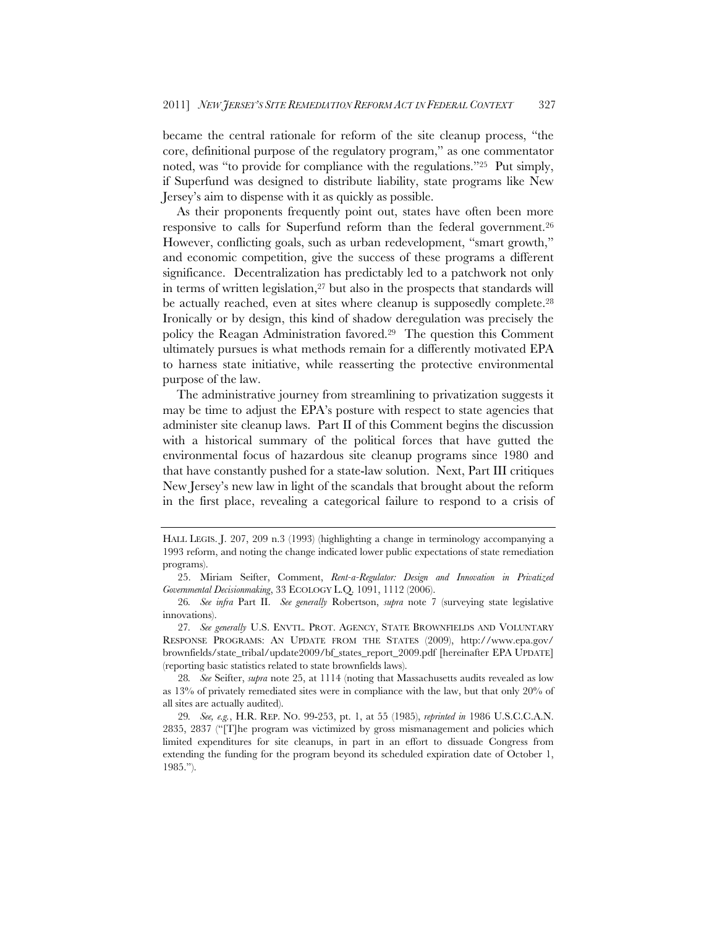became the central rationale for reform of the site cleanup process, "the core, definitional purpose of the regulatory program," as one commentator noted, was "to provide for compliance with the regulations."25 Put simply, if Superfund was designed to distribute liability, state programs like New Jersey's aim to dispense with it as quickly as possible.

As their proponents frequently point out, states have often been more responsive to calls for Superfund reform than the federal government.<sup>26</sup> However, conflicting goals, such as urban redevelopment, "smart growth," and economic competition, give the success of these programs a different significance. Decentralization has predictably led to a patchwork not only in terms of written legislation, $27$  but also in the prospects that standards will be actually reached, even at sites where cleanup is supposedly complete.28 Ironically or by design, this kind of shadow deregulation was precisely the policy the Reagan Administration favored.29 The question this Comment ultimately pursues is what methods remain for a differently motivated EPA to harness state initiative, while reasserting the protective environmental purpose of the law.

The administrative journey from streamlining to privatization suggests it may be time to adjust the EPA's posture with respect to state agencies that administer site cleanup laws. Part II of this Comment begins the discussion with a historical summary of the political forces that have gutted the environmental focus of hazardous site cleanup programs since 1980 and that have constantly pushed for a state-law solution. Next, Part III critiques New Jersey's new law in light of the scandals that brought about the reform in the first place, revealing a categorical failure to respond to a crisis of

HALL LEGIS. J. 207, 209 n.3 (1993) (highlighting a change in terminology accompanying a 1993 reform, and noting the change indicated lower public expectations of state remediation programs).

<sup>25.</sup> Miriam Seifter, Comment, *Rent-a-Regulator: Design and Innovation in Privatized Governmental Decisionmaking*, 33 ECOLOGY L.Q. 1091, 1112 (2006).

<sup>26</sup>*. See infra* Part II. *See generally* Robertson, *supra* note 7 (surveying state legislative innovations).

<sup>27</sup>*. See generally* U.S. ENVTL. PROT. AGENCY, STATE BROWNFIELDS AND VOLUNTARY RESPONSE PROGRAMS: AN UPDATE FROM THE STATES (2009), http://www.epa.gov/ brownfields/state\_tribal/update2009/bf\_states\_report\_2009.pdf [hereinafter EPA UPDATE] (reporting basic statistics related to state brownfields laws).

<sup>28</sup>*. See* Seifter, *supra* note 25, at 1114 (noting that Massachusetts audits revealed as low as 13% of privately remediated sites were in compliance with the law, but that only 20% of all sites are actually audited).

<sup>29</sup>*. See, e.g.*, H.R. REP. NO. 99-253, pt. 1, at 55 (1985), *reprinted in* 1986 U.S.C.C.A.N. 2835, 2837 ("[T]he program was victimized by gross mismanagement and policies which limited expenditures for site cleanups, in part in an effort to dissuade Congress from extending the funding for the program beyond its scheduled expiration date of October 1, 1985.").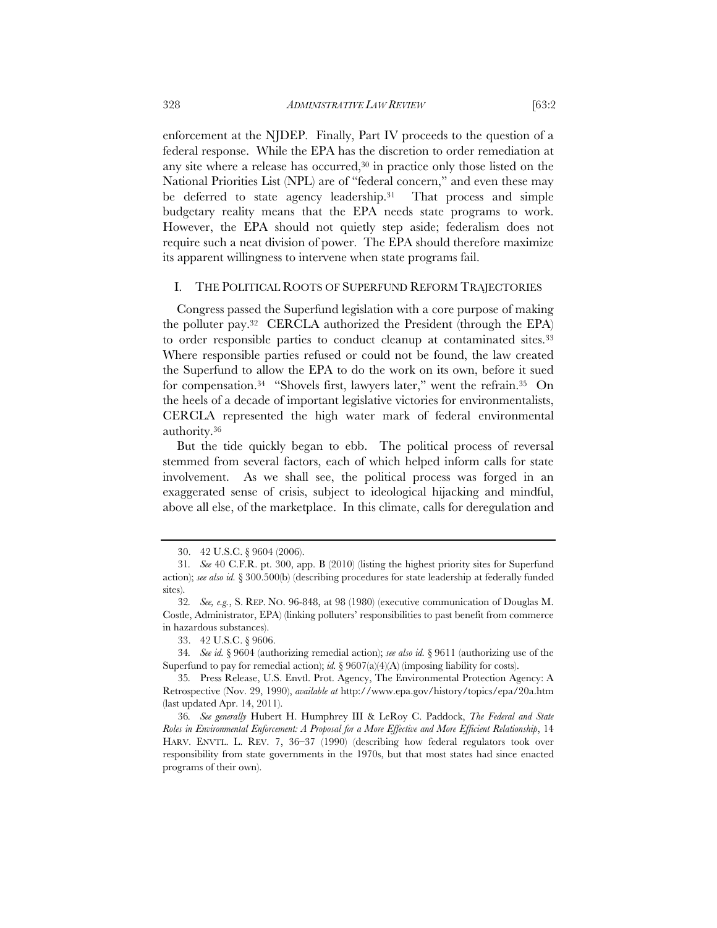enforcement at the NJDEP. Finally, Part IV proceeds to the question of a federal response. While the EPA has the discretion to order remediation at any site where a release has occurred,<sup>30</sup> in practice only those listed on the National Priorities List (NPL) are of "federal concern," and even these may be deferred to state agency leadership.<sup>31</sup> That process and simple budgetary reality means that the EPA needs state programs to work. However, the EPA should not quietly step aside; federalism does not require such a neat division of power. The EPA should therefore maximize its apparent willingness to intervene when state programs fail.

#### I. THE POLITICAL ROOTS OF SUPERFUND REFORM TRAJECTORIES

Congress passed the Superfund legislation with a core purpose of making the polluter pay.32 CERCLA authorized the President (through the EPA) to order responsible parties to conduct cleanup at contaminated sites.<sup>33</sup> Where responsible parties refused or could not be found, the law created the Superfund to allow the EPA to do the work on its own, before it sued for compensation.34 "Shovels first, lawyers later," went the refrain.35 On the heels of a decade of important legislative victories for environmentalists, CERCLA represented the high water mark of federal environmental authority.36

But the tide quickly began to ebb. The political process of reversal stemmed from several factors, each of which helped inform calls for state involvement. As we shall see, the political process was forged in an exaggerated sense of crisis, subject to ideological hijacking and mindful, above all else, of the marketplace. In this climate, calls for deregulation and

<sup>30. 42</sup> U.S.C. § 9604 (2006).

<sup>31</sup>*. See* 40 C.F.R. pt. 300, app. B (2010) (listing the highest priority sites for Superfund action); *see also id.* § 300.500(b) (describing procedures for state leadership at federally funded sites).

<sup>32</sup>*. See, e.g.*, S. REP. NO. 96-848, at 98 (1980) (executive communication of Douglas M. Costle, Administrator, EPA) (linking polluters' responsibilities to past benefit from commerce in hazardous substances).

<sup>33. 42</sup> U.S.C. § 9606.

<sup>34</sup>*. See id.* § 9604 (authorizing remedial action); *see also id.* § 9611 (authorizing use of the Superfund to pay for remedial action); *id.* § 9607(a)(4)(A) (imposing liability for costs).

<sup>35</sup>*.* Press Release, U.S. Envtl. Prot. Agency, The Environmental Protection Agency: A Retrospective (Nov. 29, 1990), *available at* http://www.epa.gov/history/topics/epa/20a.htm (last updated Apr. 14, 2011).

<sup>36</sup>*. See generally* Hubert H. Humphrey III & LeRoy C. Paddock, *The Federal and State Roles in Environmental Enforcement: A Proposal for a More Effective and More Efficient Relationship*, 14 HARV. ENVTL. L. REV. 7, 36–37 (1990) (describing how federal regulators took over responsibility from state governments in the 1970s, but that most states had since enacted programs of their own).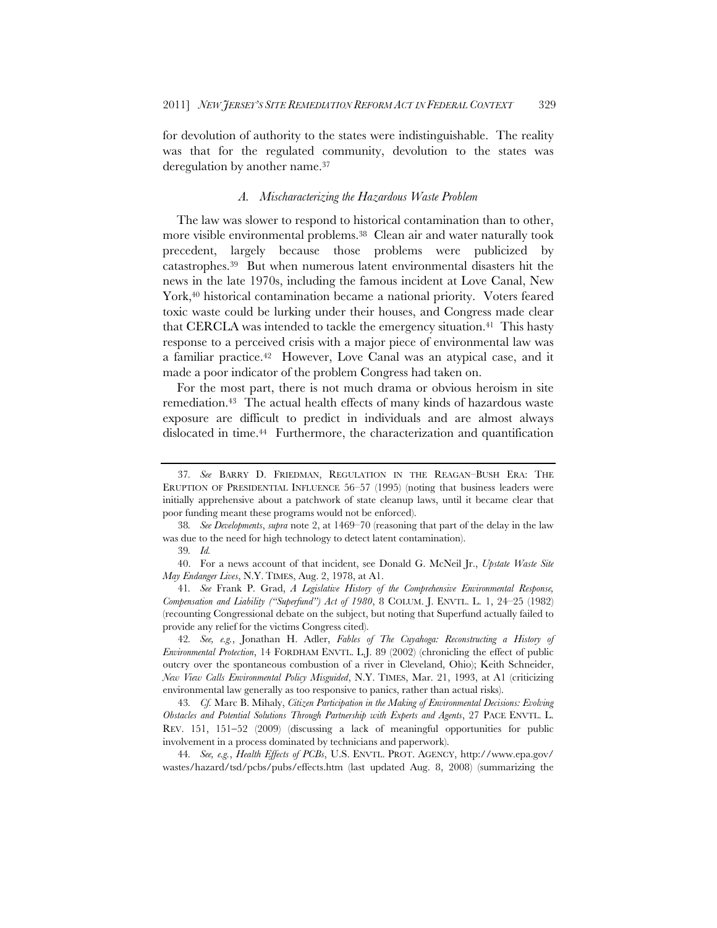for devolution of authority to the states were indistinguishable. The reality was that for the regulated community, devolution to the states was deregulation by another name.37

#### *A. Mischaracterizing the Hazardous Waste Problem*

The law was slower to respond to historical contamination than to other, more visible environmental problems.<sup>38</sup> Clean air and water naturally took precedent, largely because those problems were publicized by catastrophes.39 But when numerous latent environmental disasters hit the news in the late 1970s, including the famous incident at Love Canal, New York,<sup>40</sup> historical contamination became a national priority. Voters feared toxic waste could be lurking under their houses, and Congress made clear that CERCLA was intended to tackle the emergency situation.<sup>41</sup> This hasty response to a perceived crisis with a major piece of environmental law was a familiar practice.42 However, Love Canal was an atypical case, and it made a poor indicator of the problem Congress had taken on.

For the most part, there is not much drama or obvious heroism in site remediation.43 The actual health effects of many kinds of hazardous waste exposure are difficult to predict in individuals and are almost always dislocated in time.<sup>44</sup> Furthermore, the characterization and quantification

42*. See, e.g.*, Jonathan H. Adler, *Fables of The Cuyahoga: Reconstructing a History of Environmental Protection*, 14 FORDHAM ENVTL. L.J. 89 (2002) (chronicling the effect of public outcry over the spontaneous combustion of a river in Cleveland, Ohio); Keith Schneider, *New View Calls Environmental Policy Misguided*, N.Y. TIMES, Mar. 21, 1993, at A1 (criticizing environmental law generally as too responsive to panics, rather than actual risks).

43*. Cf.* Marc B. Mihaly, *Citizen Participation in the Making of Environmental Decisions: Evolving Obstacles and Potential Solutions Through Partnership with Experts and Agents*, 27 PACE ENVTL. L. REV.  $151$ ,  $151-52$  (2009) (discussing a lack of meaningful opportunities for public involvement in a process dominated by technicians and paperwork).

44*. See, e.g.*, *Health Effects of PCBs*, U.S. ENVTL. PROT. AGENCY, http://www.epa.gov/ wastes/hazard/tsd/pcbs/pubs/effects.htm (last updated Aug. 8, 2008) (summarizing the

<sup>37</sup>*. See* BARRY D. FRIEDMAN, REGULATION IN THE REAGAN–BUSH ERA: THE ERUPTION OF PRESIDENTIAL INFLUENCE 56–57 (1995) (noting that business leaders were initially apprehensive about a patchwork of state cleanup laws, until it became clear that poor funding meant these programs would not be enforced).

<sup>38</sup>*. See Developments*, *supra* note 2, at 1469–70 (reasoning that part of the delay in the law was due to the need for high technology to detect latent contamination).

<sup>39</sup>*. Id.*

<sup>40.</sup> For a news account of that incident, see Donald G. McNeil Jr., *Upstate Waste Site May Endanger Lives*, N.Y. TIMES, Aug. 2, 1978, at A1.

<sup>41</sup>*. See* Frank P. Grad, *A Legislative History of the Comprehensive Environmental Response, Compensation and Liability ("Superfund") Act of 1980*, 8 COLUM. J. ENVTL. L. 1, 24–25 (1982) (recounting Congressional debate on the subject, but noting that Superfund actually failed to provide any relief for the victims Congress cited).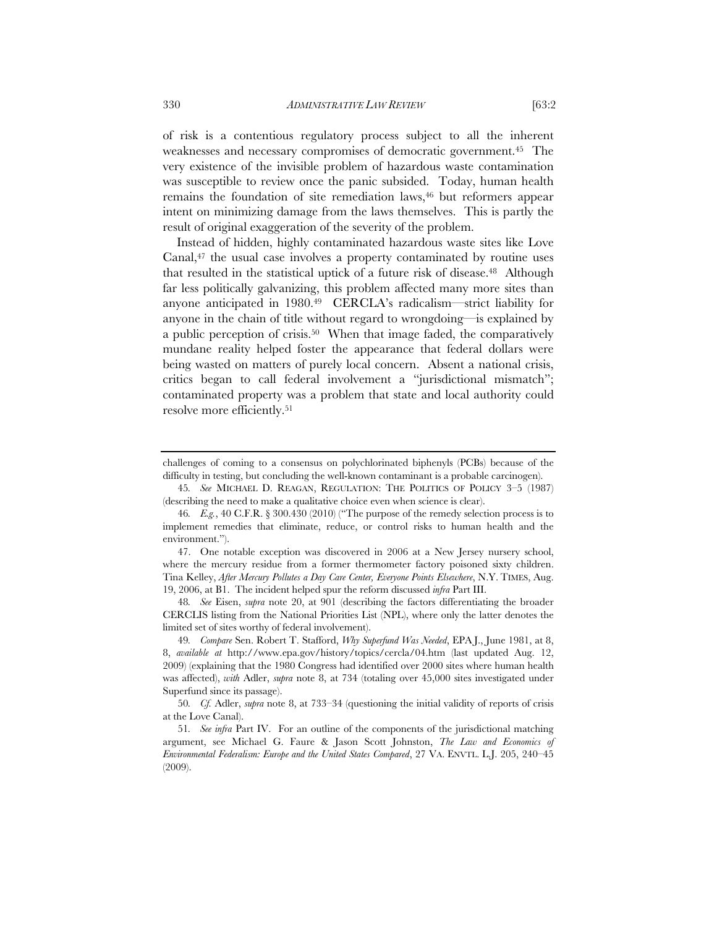of risk is a contentious regulatory process subject to all the inherent weaknesses and necessary compromises of democratic government.45 The very existence of the invisible problem of hazardous waste contamination was susceptible to review once the panic subsided. Today, human health remains the foundation of site remediation laws,<sup>46</sup> but reformers appear intent on minimizing damage from the laws themselves. This is partly the result of original exaggeration of the severity of the problem.

Instead of hidden, highly contaminated hazardous waste sites like Love Canal,<sup>47</sup> the usual case involves a property contaminated by routine uses that resulted in the statistical uptick of a future risk of disease.48 Although far less politically galvanizing, this problem affected many more sites than anyone anticipated in 1980.49 CERCLA's radicalism—strict liability for anyone in the chain of title without regard to wrongdoing—is explained by a public perception of crisis.50 When that image faded, the comparatively mundane reality helped foster the appearance that federal dollars were being wasted on matters of purely local concern. Absent a national crisis, critics began to call federal involvement a "jurisdictional mismatch"; contaminated property was a problem that state and local authority could resolve more efficiently.51

45*. See* MICHAEL D. REAGAN, REGULATION: THE POLITICS OF POLICY 3–5 (1987) (describing the need to make a qualitative choice even when science is clear).

48*. See* Eisen, *supra* note 20, at 901 (describing the factors differentiating the broader CERCLIS listing from the National Priorities List (NPL), where only the latter denotes the limited set of sites worthy of federal involvement).

challenges of coming to a consensus on polychlorinated biphenyls (PCBs) because of the difficulty in testing, but concluding the well-known contaminant is a probable carcinogen).

<sup>46</sup>*. E.g.*, 40 C.F.R. § 300.430 (2010) ("The purpose of the remedy selection process is to implement remedies that eliminate, reduce, or control risks to human health and the environment.").

<sup>47.</sup> One notable exception was discovered in 2006 at a New Jersey nursery school, where the mercury residue from a former thermometer factory poisoned sixty children. Tina Kelley, *After Mercury Pollutes a Day Care Center, Everyone Points Elsewhere*, N.Y. TIMES, Aug. 19, 2006, at B1. The incident helped spur the reform discussed *infra* Part III.

<sup>49</sup>*. Compare* Sen. Robert T. Stafford, *Why Superfund Was Needed*, EPA J., June 1981, at 8, 8, *available at* http://www.epa.gov/history/topics/cercla/04.htm (last updated Aug. 12, 2009) (explaining that the 1980 Congress had identified over 2000 sites where human health was affected), *with* Adler, *supra* note 8, at 734 (totaling over 45,000 sites investigated under Superfund since its passage).

<sup>50</sup>*. Cf.* Adler, *supra* note 8, at 733–34 (questioning the initial validity of reports of crisis at the Love Canal).

<sup>51</sup>*. See infra* Part IV. For an outline of the components of the jurisdictional matching argument, see Michael G. Faure & Jason Scott Johnston, *The Law and Economics of Environmental Federalism: Europe and the United States Compared*, 27 VA. ENVTL. L.J. 205, 240–45 (2009).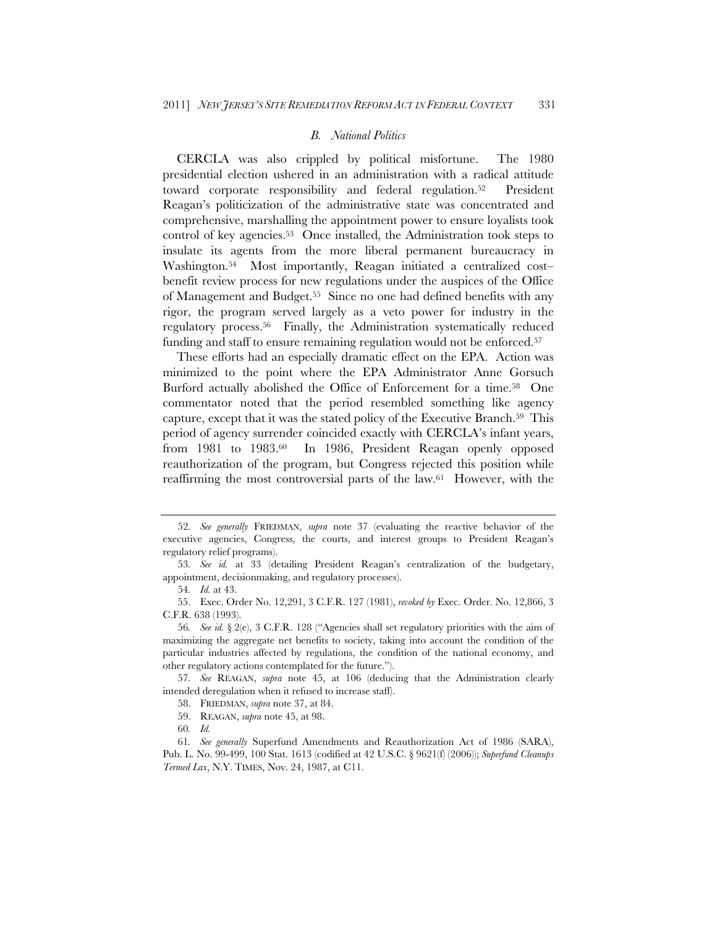#### *B. National Politics*

CERCLA was also crippled by political misfortune. The 1980 presidential election ushered in an administration with a radical attitude toward corporate responsibility and federal regulation.<sup>52</sup> President Reagan's politicization of the administrative state was concentrated and comprehensive, marshalling the appointment power to ensure loyalists took control of key agencies.53 Once installed, the Administration took steps to insulate its agents from the more liberal permanent bureaucracy in Washington.<sup>54</sup> Most importantly, Reagan initiated a centralized cost– benefit review process for new regulations under the auspices of the Office of Management and Budget.55 Since no one had defined benefits with any rigor, the program served largely as a veto power for industry in the regulatory process.56 Finally, the Administration systematically reduced funding and staff to ensure remaining regulation would not be enforced.<sup>57</sup>

These efforts had an especially dramatic effect on the EPA. Action was minimized to the point where the EPA Administrator Anne Gorsuch Burford actually abolished the Office of Enforcement for a time.58 One commentator noted that the period resembled something like agency capture, except that it was the stated policy of the Executive Branch.59 This period of agency surrender coincided exactly with CERCLA's infant years, from 1981 to 1983.<sup>60</sup> In 1986, President Reagan openly opposed reauthorization of the program, but Congress rejected this position while reaffirming the most controversial parts of the law.61 However, with the

<sup>52</sup>*. See generally* FRIEDMAN, *supra* note 37 (evaluating the reactive behavior of the executive agencies, Congress, the courts, and interest groups to President Reagan's regulatory relief programs).

<sup>53</sup>*. See id.* at 33 (detailing President Reagan's centralization of the budgetary, appointment, decisionmaking, and regulatory processes).

<sup>54</sup>*. Id.* at 43.

<sup>55.</sup> Exec. Order No. 12,291, 3 C.F.R. 127 (1981), *revoked by* Exec. Order. No. 12,866, 3 C.F.R. 638 (1993).

<sup>56</sup>*. See id.* § 2(e), 3 C.F.R. 128 ("Agencies shall set regulatory priorities with the aim of maximizing the aggregate net benefits to society, taking into account the condition of the particular industries affected by regulations, the condition of the national economy, and other regulatory actions contemplated for the future.").

<sup>57</sup>*. See* REAGAN, *supra* note 45, at 106 (deducing that the Administration clearly intended deregulation when it refused to increase staff).

<sup>58.</sup> FRIEDMAN, *supra* note 37, at 84.

<sup>59.</sup> REAGAN, *supra* note 45, at 98.

<sup>60</sup>*. Id.*

<sup>61</sup>*. See generally* Superfund Amendments and Reauthorization Act of 1986 (SARA), Pub. L. No. 99-499, 100 Stat. 1613 (codified at 42 U.S.C. § 9621(f) (2006)); *Superfund Cleanups Termed Lax*, N.Y. TIMES, Nov. 24, 1987, at C11.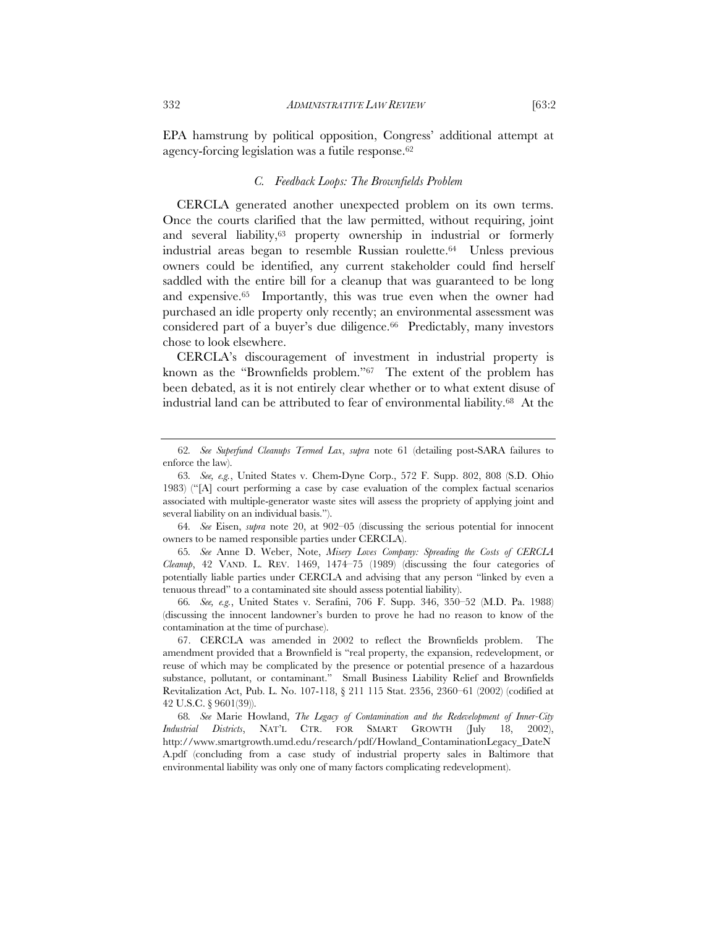EPA hamstrung by political opposition, Congress' additional attempt at agency-forcing legislation was a futile response.<sup>62</sup>

#### *C. Feedback Loops: The Brownfields Problem*

CERCLA generated another unexpected problem on its own terms. Once the courts clarified that the law permitted, without requiring, joint and several liability,<sup>63</sup> property ownership in industrial or formerly industrial areas began to resemble Russian roulette.64 Unless previous owners could be identified, any current stakeholder could find herself saddled with the entire bill for a cleanup that was guaranteed to be long and expensive.65 Importantly, this was true even when the owner had purchased an idle property only recently; an environmental assessment was considered part of a buyer's due diligence.<sup>66</sup> Predictably, many investors chose to look elsewhere.

CERCLA's discouragement of investment in industrial property is known as the "Brownfields problem."67 The extent of the problem has been debated, as it is not entirely clear whether or to what extent disuse of industrial land can be attributed to fear of environmental liability.68 At the

64*. See* Eisen, *supra* note 20, at 902–05 (discussing the serious potential for innocent owners to be named responsible parties under CERCLA).

65*. See* Anne D. Weber, Note, *Misery Loves Company: Spreading the Costs of CERCLA Cleanup*, 42 VAND. L. REV. 1469, 1474–75 (1989) (discussing the four categories of potentially liable parties under CERCLA and advising that any person "linked by even a tenuous thread" to a contaminated site should assess potential liability).

66*. See, e.g.*, United States v. Serafini, 706 F. Supp. 346, 350–52 (M.D. Pa. 1988) (discussing the innocent landowner's burden to prove he had no reason to know of the contamination at the time of purchase).

67. CERCLA was amended in 2002 to reflect the Brownfields problem. The amendment provided that a Brownfield is "real property, the expansion, redevelopment, or reuse of which may be complicated by the presence or potential presence of a hazardous substance, pollutant, or contaminant." Small Business Liability Relief and Brownfields Revitalization Act, Pub. L. No. 107-118, § 211 115 Stat. 2356, 2360–61 (2002) (codified at 42 U.S.C. § 9601(39)).

68*. See* Marie Howland, *The Legacy of Contamination and the Redevelopment of Inner-City Industrial Districts*, NAT'L CTR. FOR SMART GROWTH (July 18, 2002), http://www.smartgrowth.umd.edu/research/pdf/Howland\_ContaminationLegacy\_DateN A.pdf (concluding from a case study of industrial property sales in Baltimore that environmental liability was only one of many factors complicating redevelopment).

<sup>62</sup>*. See Superfund Cleanups Termed Lax*, *supra* note 61 (detailing post-SARA failures to enforce the law).

<sup>63</sup>*. See, e.g.*, United States v. Chem-Dyne Corp., 572 F. Supp. 802, 808 (S.D. Ohio 1983) ("[A] court performing a case by case evaluation of the complex factual scenarios associated with multiple-generator waste sites will assess the propriety of applying joint and several liability on an individual basis.").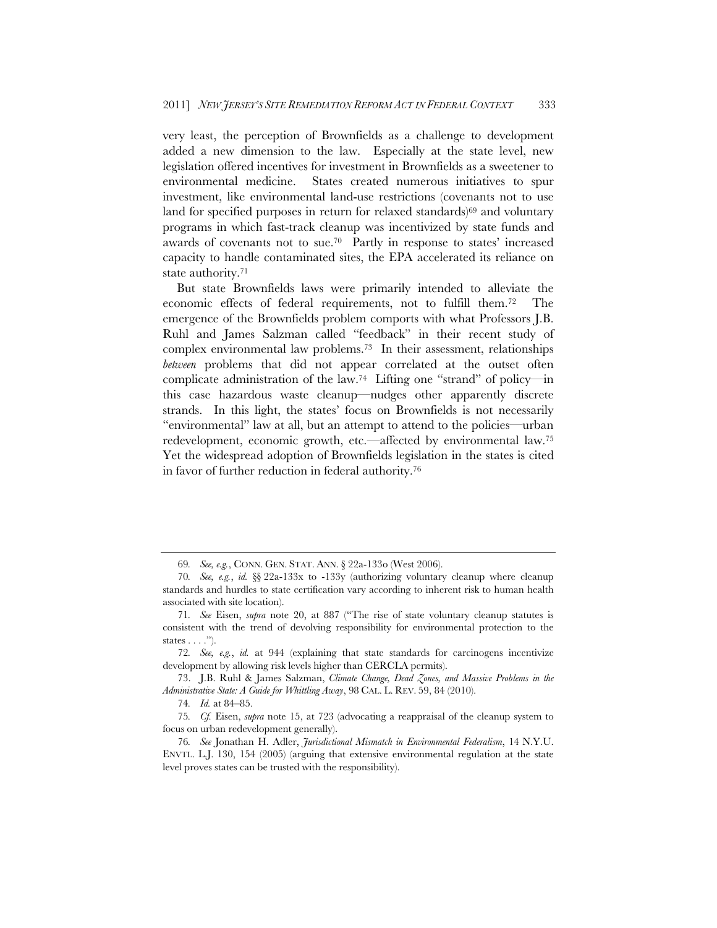very least, the perception of Brownfields as a challenge to development added a new dimension to the law. Especially at the state level, new legislation offered incentives for investment in Brownfields as a sweetener to environmental medicine. States created numerous initiatives to spur investment, like environmental land-use restrictions (covenants not to use land for specified purposes in return for relaxed standards)<sup>69</sup> and voluntary programs in which fast-track cleanup was incentivized by state funds and awards of covenants not to sue.70 Partly in response to states' increased capacity to handle contaminated sites, the EPA accelerated its reliance on state authority.71

But state Brownfields laws were primarily intended to alleviate the economic effects of federal requirements, not to fulfill them.72 The emergence of the Brownfields problem comports with what Professors J.B. Ruhl and James Salzman called "feedback" in their recent study of complex environmental law problems.73 In their assessment, relationships *between* problems that did not appear correlated at the outset often complicate administration of the law.<sup>74</sup> Lifting one "strand" of policy—in this case hazardous waste cleanup—nudges other apparently discrete strands. In this light, the states' focus on Brownfields is not necessarily "environmental" law at all, but an attempt to attend to the policies—urban redevelopment, economic growth, etc.—affected by environmental law.75 Yet the widespread adoption of Brownfields legislation in the states is cited in favor of further reduction in federal authority.76

<sup>69</sup>*. See, e.g.*, CONN. GEN. STAT. ANN. § 22a-133o (West 2006).

<sup>70</sup>*. See, e.g.*, *id.* §§ 22a-133x to -133y (authorizing voluntary cleanup where cleanup standards and hurdles to state certification vary according to inherent risk to human health associated with site location).

<sup>71</sup>*. See* Eisen, *supra* note 20, at 887 ("The rise of state voluntary cleanup statutes is consistent with the trend of devolving responsibility for environmental protection to the states  $\dots$ .").

<sup>72</sup>*. See, e.g.*, *id.* at 944 (explaining that state standards for carcinogens incentivize development by allowing risk levels higher than CERCLA permits).

<sup>73.</sup> J.B. Ruhl & James Salzman, *Climate Change, Dead Zones, and Massive Problems in the Administrative State: A Guide for Whittling Away*, 98 CAL. L. REV. 59, 84 (2010).

<sup>74</sup>*. Id.* at 84–85.

<sup>75</sup>*. Cf.* Eisen, *supra* note 15, at 723 (advocating a reappraisal of the cleanup system to focus on urban redevelopment generally).

<sup>76</sup>*. See* Jonathan H. Adler, *Jurisdictional Mismatch in Environmental Federalism*, 14 N.Y.U. ENVTL. L.J. 130, 154 (2005) (arguing that extensive environmental regulation at the state level proves states can be trusted with the responsibility).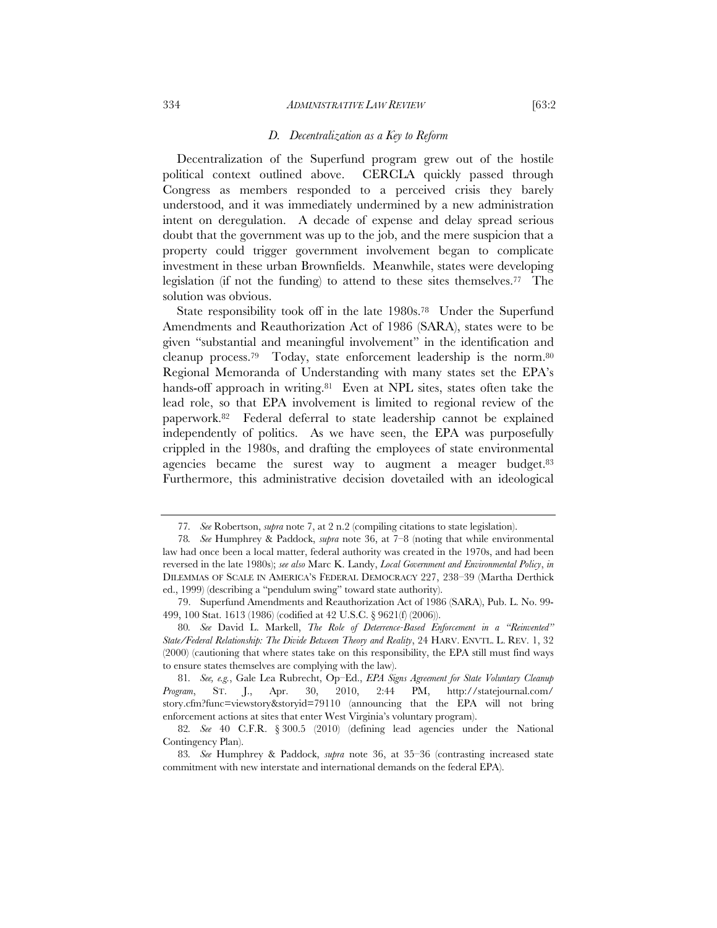#### 334 *ADMINISTRATIVE LAW REVIEW* [63:2

#### *D. Decentralization as a Key to Reform*

Decentralization of the Superfund program grew out of the hostile political context outlined above. CERCLA quickly passed through Congress as members responded to a perceived crisis they barely understood, and it was immediately undermined by a new administration intent on deregulation. A decade of expense and delay spread serious doubt that the government was up to the job, and the mere suspicion that a property could trigger government involvement began to complicate investment in these urban Brownfields. Meanwhile, states were developing legislation (if not the funding) to attend to these sites themselves.77 The solution was obvious.

State responsibility took off in the late 1980s.78 Under the Superfund Amendments and Reauthorization Act of 1986 (SARA), states were to be given "substantial and meaningful involvement" in the identification and cleanup process.<sup>79</sup> Today, state enforcement leadership is the norm.<sup>80</sup> Regional Memoranda of Understanding with many states set the EPA's hands-off approach in writing.<sup>81</sup> Even at NPL sites, states often take the lead role, so that EPA involvement is limited to regional review of the paperwork.82 Federal deferral to state leadership cannot be explained independently of politics. As we have seen, the EPA was purposefully crippled in the 1980s, and drafting the employees of state environmental agencies became the surest way to augment a meager budget.<sup>83</sup> Furthermore, this administrative decision dovetailed with an ideological

<sup>77</sup>*. See* Robertson, *supra* note 7, at 2 n.2 (compiling citations to state legislation).

<sup>78</sup>*. See* Humphrey & Paddock, *supra* note 36, at 7–8 (noting that while environmental law had once been a local matter, federal authority was created in the 1970s, and had been reversed in the late 1980s); *see also* Marc K. Landy, *Local Government and Environmental Policy*, *in* DILEMMAS OF SCALE IN AMERICA'S FEDERAL DEMOCRACY 227, 238–39 (Martha Derthick ed., 1999) (describing a "pendulum swing" toward state authority).

<sup>79.</sup> Superfund Amendments and Reauthorization Act of 1986 (SARA), Pub. L. No. 99- 499, 100 Stat. 1613 (1986) (codified at 42 U.S.C. § 9621(f) (2006)).

<sup>80</sup>*. See* David L. Markell, *The Role of Deterrence-Based Enforcement in a "Reinvented" State/Federal Relationship: The Divide Between Theory and Reality*, 24 HARV. ENVTL. L. REV. 1, 32 (2000) (cautioning that where states take on this responsibility, the EPA still must find ways to ensure states themselves are complying with the law).

<sup>81</sup>*. See, e.g.*, Gale Lea Rubrecht, Op–Ed., *EPA Signs Agreement for State Voluntary Cleanup Program*, ST. J., Apr. 30, 2010, 2:44 PM, http://statejournal.com/ story.cfm?func=viewstory&storyid=79110 (announcing that the EPA will not bring enforcement actions at sites that enter West Virginia's voluntary program).

<sup>82</sup>*. See* 40 C.F.R. § 300.5 (2010) (defining lead agencies under the National Contingency Plan).

<sup>83</sup>*. See* Humphrey & Paddock, *supra* note 36, at 35–36 (contrasting increased state commitment with new interstate and international demands on the federal EPA).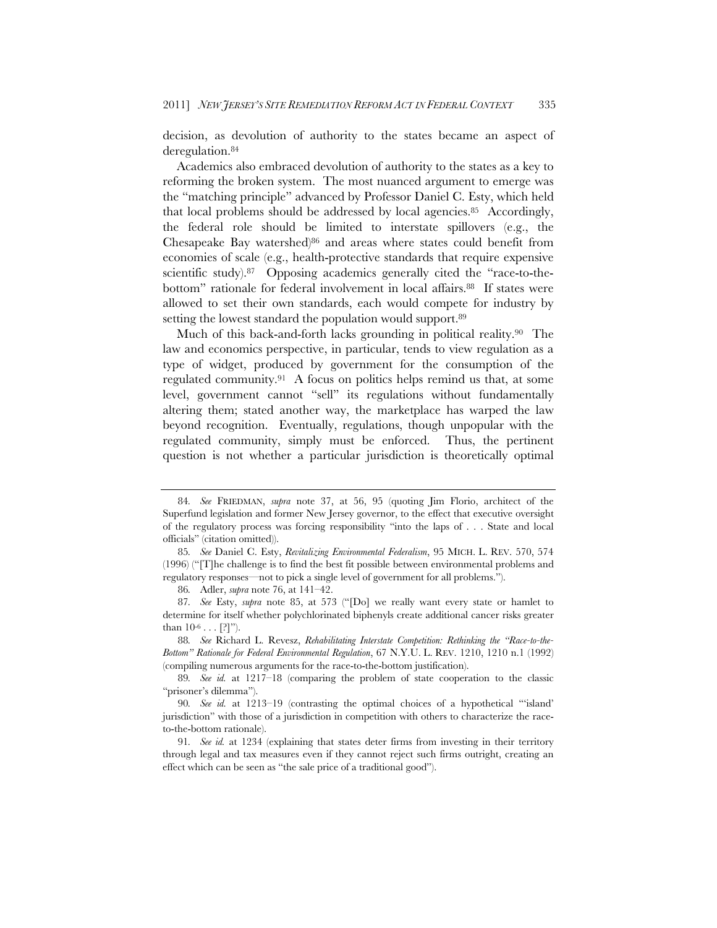decision, as devolution of authority to the states became an aspect of deregulation.84

Academics also embraced devolution of authority to the states as a key to reforming the broken system. The most nuanced argument to emerge was the "matching principle" advanced by Professor Daniel C. Esty, which held that local problems should be addressed by local agencies.85 Accordingly, the federal role should be limited to interstate spillovers (e.g., the Chesapeake Bay watershed) $86$  and areas where states could benefit from economies of scale (e.g., health-protective standards that require expensive scientific study).<sup>87</sup> Opposing academics generally cited the "race-to-thebottom" rationale for federal involvement in local affairs.<sup>88</sup> If states were allowed to set their own standards, each would compete for industry by setting the lowest standard the population would support.<sup>89</sup>

Much of this back-and-forth lacks grounding in political reality.<sup>90</sup> The law and economics perspective, in particular, tends to view regulation as a type of widget, produced by government for the consumption of the regulated community.91 A focus on politics helps remind us that, at some level, government cannot "sell" its regulations without fundamentally altering them; stated another way, the marketplace has warped the law beyond recognition. Eventually, regulations, though unpopular with the regulated community, simply must be enforced. Thus, the pertinent question is not whether a particular jurisdiction is theoretically optimal

<sup>84</sup>*. See* FRIEDMAN, *supra* note 37, at 56, 95 (quoting Jim Florio, architect of the Superfund legislation and former New Jersey governor, to the effect that executive oversight of the regulatory process was forcing responsibility "into the laps of . . . State and local officials" (citation omitted)).

<sup>85</sup>*. See* Daniel C. Esty, *Revitalizing Environmental Federalism*, 95 MICH. L. REV. 570, 574 (1996) ("[T]he challenge is to find the best fit possible between environmental problems and regulatory responses—not to pick a single level of government for all problems.").

<sup>86</sup>*.* Adler, *supra* note 76, at 141–42.

<sup>87</sup>*. See* Esty, *supra* note 85, at 573 ("[Do] we really want every state or hamlet to determine for itself whether polychlorinated biphenyls create additional cancer risks greater than  $10^{-6} \dots$  [?]").

<sup>88</sup>*. See* Richard L. Revesz, *Rehabilitating Interstate Competition: Rethinking the "Race-to-the-Bottom" Rationale for Federal Environmental Regulation*, 67 N.Y.U. L. REV. 1210, 1210 n.1 (1992) (compiling numerous arguments for the race-to-the-bottom justification).

<sup>89</sup>*. See id.* at 1217–18 (comparing the problem of state cooperation to the classic "prisoner's dilemma").

<sup>90</sup>*. See id.* at 1213–19 (contrasting the optimal choices of a hypothetical "'island' jurisdiction" with those of a jurisdiction in competition with others to characterize the raceto-the-bottom rationale).

<sup>91</sup>*. See id.* at 1234 (explaining that states deter firms from investing in their territory through legal and tax measures even if they cannot reject such firms outright, creating an effect which can be seen as "the sale price of a traditional good").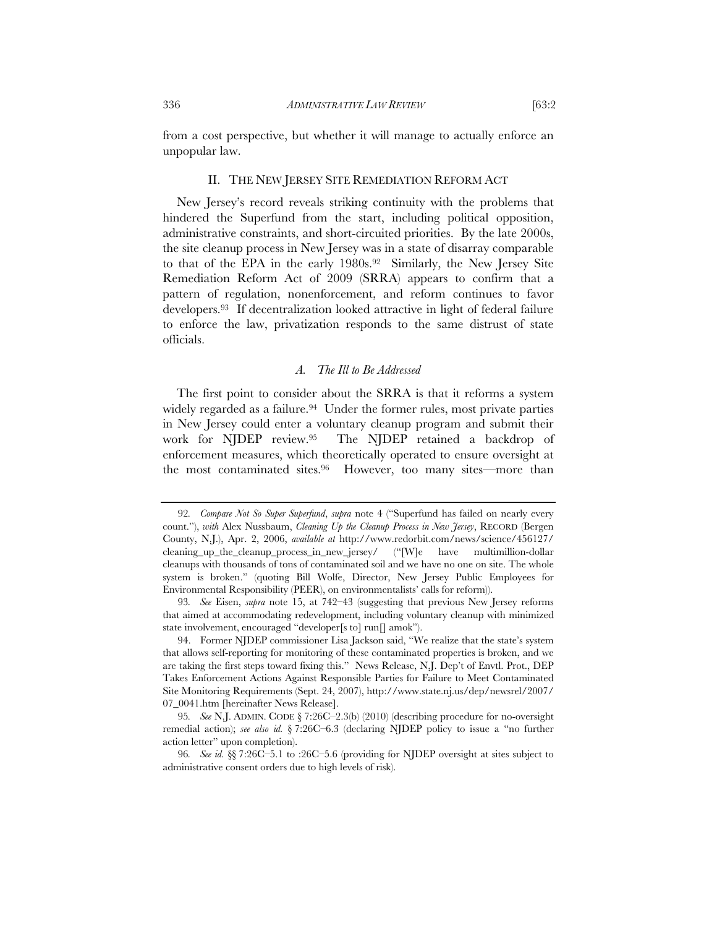from a cost perspective, but whether it will manage to actually enforce an unpopular law.

## II. THE NEW JERSEY SITE REMEDIATION REFORM ACT

New Jersey's record reveals striking continuity with the problems that hindered the Superfund from the start, including political opposition, administrative constraints, and short-circuited priorities. By the late 2000s, the site cleanup process in New Jersey was in a state of disarray comparable to that of the EPA in the early 1980s.<sup>92</sup> Similarly, the New Jersey Site Remediation Reform Act of 2009 (SRRA) appears to confirm that a pattern of regulation, nonenforcement, and reform continues to favor developers.93 If decentralization looked attractive in light of federal failure to enforce the law, privatization responds to the same distrust of state officials.

### *A. The Ill to Be Addressed*

The first point to consider about the SRRA is that it reforms a system widely regarded as a failure.<sup>94</sup> Under the former rules, most private parties in New Jersey could enter a voluntary cleanup program and submit their work for NJDEP review.95 The NJDEP retained a backdrop of enforcement measures, which theoretically operated to ensure oversight at the most contaminated sites.96 However, too many sites—more than

<sup>92</sup>*. Compare Not So Super Superfund*, *supra* note 4 ("Superfund has failed on nearly every count."), *with* Alex Nussbaum, *Cleaning Up the Cleanup Process in New Jersey*, RECORD (Bergen County, N.J.), Apr. 2, 2006, *available at* http://www.redorbit.com/news/science/456127/ cleaning\_up\_the\_cleanup\_process\_in\_new\_jersey/ ("[W]e have multimillion-dollar cleanups with thousands of tons of contaminated soil and we have no one on site. The whole system is broken." (quoting Bill Wolfe, Director, New Jersey Public Employees for Environmental Responsibility (PEER), on environmentalists' calls for reform)).

<sup>93</sup>*. See* Eisen, *supra* note 15, at 742–43 (suggesting that previous New Jersey reforms that aimed at accommodating redevelopment, including voluntary cleanup with minimized state involvement, encouraged "developer[s to] run[] amok").

<sup>94.</sup> Former NJDEP commissioner Lisa Jackson said, "We realize that the state's system that allows self-reporting for monitoring of these contaminated properties is broken, and we are taking the first steps toward fixing this." News Release, N.J. Dep't of Envtl. Prot., DEP Takes Enforcement Actions Against Responsible Parties for Failure to Meet Contaminated Site Monitoring Requirements (Sept. 24, 2007), http://www.state.nj.us/dep/newsrel/2007/ 07\_0041.htm [hereinafter News Release].

<sup>95</sup>*. See* N.J. ADMIN. CODE § 7:26C–2.3(b) (2010) (describing procedure for no-oversight remedial action); *see also id.* § 7:26C–6.3 (declaring NJDEP policy to issue a "no further action letter" upon completion).

<sup>96</sup>*. See id.* §§ 7:26C–5.1 to :26C–5.6 (providing for NJDEP oversight at sites subject to administrative consent orders due to high levels of risk).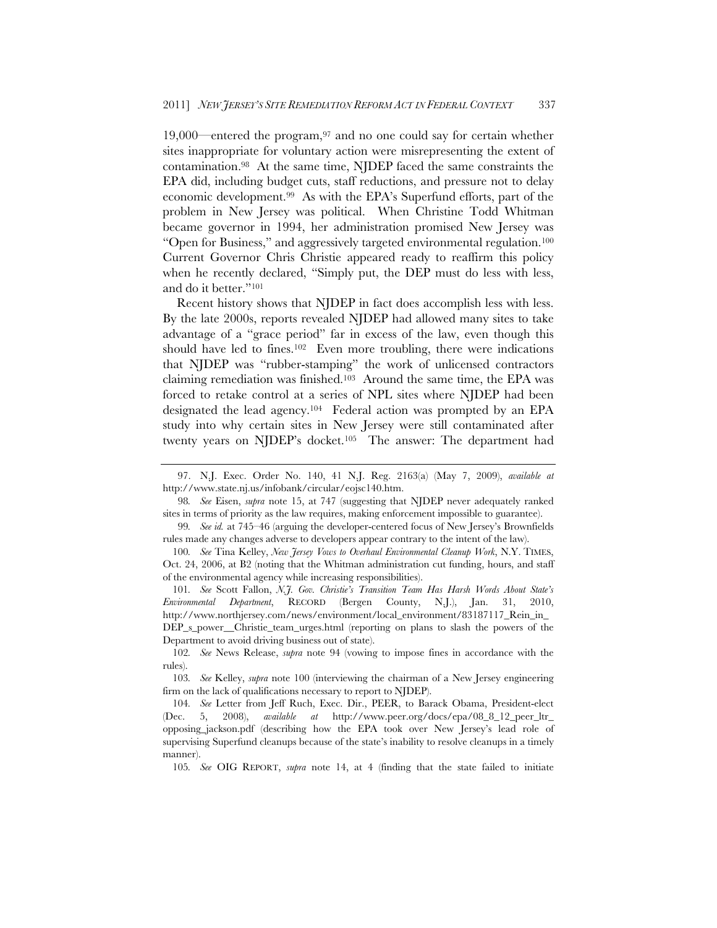19,000—entered the program,97 and no one could say for certain whether sites inappropriate for voluntary action were misrepresenting the extent of contamination.98 At the same time, NJDEP faced the same constraints the EPA did, including budget cuts, staff reductions, and pressure not to delay economic development.99 As with the EPA's Superfund efforts, part of the problem in New Jersey was political. When Christine Todd Whitman became governor in 1994, her administration promised New Jersey was "Open for Business," and aggressively targeted environmental regulation.100 Current Governor Chris Christie appeared ready to reaffirm this policy when he recently declared, "Simply put, the DEP must do less with less, and do it better."101

Recent history shows that NJDEP in fact does accomplish less with less. By the late 2000s, reports revealed NJDEP had allowed many sites to take advantage of a "grace period" far in excess of the law, even though this should have led to fines.102 Even more troubling, there were indications that NJDEP was "rubber-stamping" the work of unlicensed contractors claiming remediation was finished.103 Around the same time, the EPA was forced to retake control at a series of NPL sites where NJDEP had been designated the lead agency.104 Federal action was prompted by an EPA study into why certain sites in New Jersey were still contaminated after twenty years on NJDEP's docket.105 The answer: The department had

99*. See id.* at 745–46 (arguing the developer-centered focus of New Jersey's Brownfields rules made any changes adverse to developers appear contrary to the intent of the law).

100*. See* Tina Kelley, *New Jersey Vows to Overhaul Environmental Cleanup Work*, N.Y. TIMES, Oct. 24, 2006, at B2 (noting that the Whitman administration cut funding, hours, and staff of the environmental agency while increasing responsibilities).

101*. See* Scott Fallon, *N.J. Gov. Christie's Transition Team Has Harsh Words About State's Environmental Department*, RECORD (Bergen County, N.J.), Jan. 31, 2010, http://www.northjersey.com/news/environment/local\_environment/83187117\_Rein\_in\_ DEP<sub>s</sub> power\_Christie\_team\_urges.html (reporting on plans to slash the powers of the Department to avoid driving business out of state).

102*. See* News Release, *supra* note 94 (vowing to impose fines in accordance with the rules).

103*. See* Kelley, *supra* note 100 (interviewing the chairman of a New Jersey engineering firm on the lack of qualifications necessary to report to NJDEP).

104*. See* Letter from Jeff Ruch, Exec. Dir., PEER, to Barack Obama, President-elect (Dec. 5, 2008), *available at* http://www.peer.org/docs/epa/08\_8\_12\_peer\_ltr\_ opposing\_jackson.pdf (describing how the EPA took over New Jersey's lead role of supervising Superfund cleanups because of the state's inability to resolve cleanups in a timely manner).

105*. See* OIG REPORT, *supra* note 14, at 4 (finding that the state failed to initiate

<sup>97.</sup> N.J. Exec. Order No. 140, 41 N.J. Reg. 2163(a) (May 7, 2009), *available at* http://www.state.nj.us/infobank/circular/eojsc140.htm.

<sup>98</sup>*. See* Eisen, *supra* note 15, at 747 (suggesting that NJDEP never adequately ranked sites in terms of priority as the law requires, making enforcement impossible to guarantee).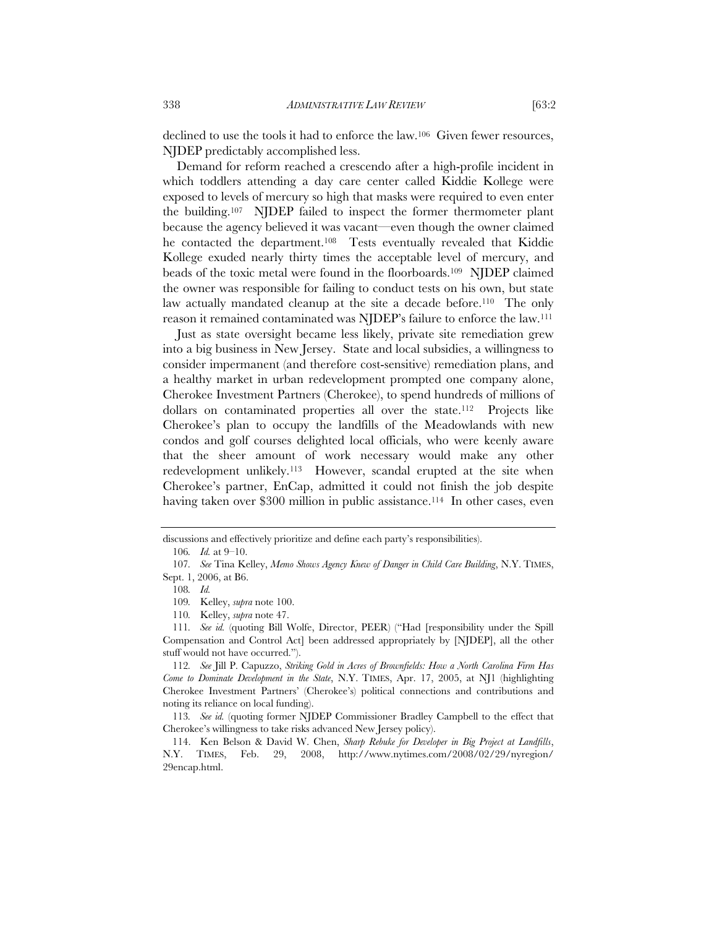declined to use the tools it had to enforce the law.106 Given fewer resources, NJDEP predictably accomplished less.

Demand for reform reached a crescendo after a high-profile incident in which toddlers attending a day care center called Kiddie Kollege were exposed to levels of mercury so high that masks were required to even enter the building.107 NJDEP failed to inspect the former thermometer plant because the agency believed it was vacant—even though the owner claimed he contacted the department.<sup>108</sup> Tests eventually revealed that Kiddie Kollege exuded nearly thirty times the acceptable level of mercury, and beads of the toxic metal were found in the floorboards.109 NJDEP claimed the owner was responsible for failing to conduct tests on his own, but state law actually mandated cleanup at the site a decade before.<sup>110</sup> The only reason it remained contaminated was NJDEP's failure to enforce the law.111

Just as state oversight became less likely, private site remediation grew into a big business in New Jersey. State and local subsidies, a willingness to consider impermanent (and therefore cost-sensitive) remediation plans, and a healthy market in urban redevelopment prompted one company alone, Cherokee Investment Partners (Cherokee), to spend hundreds of millions of dollars on contaminated properties all over the state.112 Projects like Cherokee's plan to occupy the landfills of the Meadowlands with new condos and golf courses delighted local officials, who were keenly aware that the sheer amount of work necessary would make any other redevelopment unlikely.<sup>113</sup> However, scandal erupted at the site when Cherokee's partner, EnCap, admitted it could not finish the job despite having taken over \$300 million in public assistance.<sup>114</sup> In other cases, even

discussions and effectively prioritize and define each party's responsibilities).

<sup>106</sup>*. Id.* at 9–10.

<sup>107</sup>*. See* Tina Kelley, *Memo Shows Agency Knew of Danger in Child Care Building*, N.Y. TIMES, Sept. 1, 2006, at B6.

<sup>108</sup>*. Id.*

<sup>109</sup>*.* Kelley, *supra* note 100.

<sup>110</sup>*.* Kelley, *supra* note 47.

<sup>111</sup>*. See id.* (quoting Bill Wolfe, Director, PEER) ("Had [responsibility under the Spill Compensation and Control Act] been addressed appropriately by [NJDEP], all the other stuff would not have occurred.").

<sup>112</sup>*. See* Jill P. Capuzzo, *Striking Gold in Acres of Brownfields: How a North Carolina Firm Has Come to Dominate Development in the State*, N.Y. TIMES, Apr. 17, 2005, at NJ1 (highlighting Cherokee Investment Partners' (Cherokee's) political connections and contributions and noting its reliance on local funding).

<sup>113</sup>*. See id.* (quoting former NJDEP Commissioner Bradley Campbell to the effect that Cherokee's willingness to take risks advanced New Jersey policy).

 <sup>114.</sup> Ken Belson & David W. Chen, *Sharp Rebuke for Developer in Big Project at Landfills*, N.Y. TIMES, Feb. 29, 2008, http://www.nytimes.com/2008/02/29/nyregion/ 29encap.html.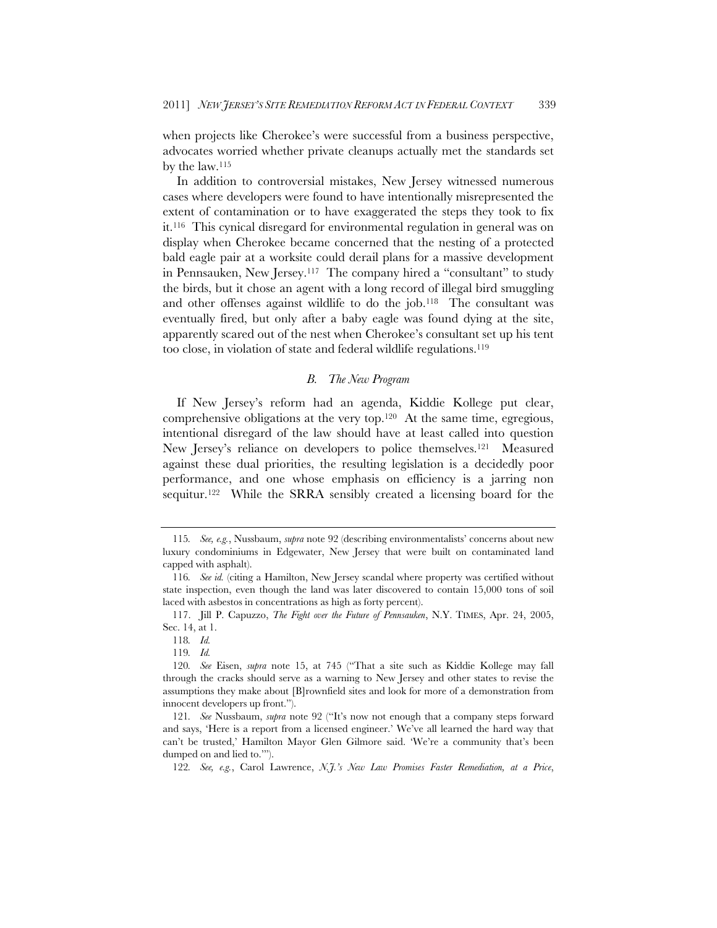when projects like Cherokee's were successful from a business perspective, advocates worried whether private cleanups actually met the standards set by the law.115

In addition to controversial mistakes, New Jersey witnessed numerous cases where developers were found to have intentionally misrepresented the extent of contamination or to have exaggerated the steps they took to fix it.116 This cynical disregard for environmental regulation in general was on display when Cherokee became concerned that the nesting of a protected bald eagle pair at a worksite could derail plans for a massive development in Pennsauken, New Jersey.117 The company hired a "consultant" to study the birds, but it chose an agent with a long record of illegal bird smuggling and other offenses against wildlife to do the job.118 The consultant was eventually fired, but only after a baby eagle was found dying at the site, apparently scared out of the nest when Cherokee's consultant set up his tent too close, in violation of state and federal wildlife regulations.119

# *B. The New Program*

If New Jersey's reform had an agenda, Kiddie Kollege put clear, comprehensive obligations at the very top.120 At the same time, egregious, intentional disregard of the law should have at least called into question New Jersey's reliance on developers to police themselves.<sup>121</sup> Measured against these dual priorities, the resulting legislation is a decidedly poor performance, and one whose emphasis on efficiency is a jarring non sequitur.<sup>122</sup> While the SRRA sensibly created a licensing board for the

<sup>115</sup>*. See, e.g.*, Nussbaum, *supra* note 92 (describing environmentalists' concerns about new luxury condominiums in Edgewater, New Jersey that were built on contaminated land capped with asphalt).

<sup>116</sup>*. See id.* (citing a Hamilton, New Jersey scandal where property was certified without state inspection, even though the land was later discovered to contain 15,000 tons of soil laced with asbestos in concentrations as high as forty percent).

 <sup>117.</sup> Jill P. Capuzzo, *The Fight over the Future of Pennsauken*, N.Y. TIMES, Apr. 24, 2005, Sec. 14, at 1.

<sup>118</sup>*. Id.*

<sup>119</sup>*. Id.*

<sup>120</sup>*. See* Eisen, *supra* note 15, at 745 ("That a site such as Kiddie Kollege may fall through the cracks should serve as a warning to New Jersey and other states to revise the assumptions they make about [B]rownfield sites and look for more of a demonstration from innocent developers up front.").

<sup>121</sup>*. See* Nussbaum, *supra* note 92 (''It's now not enough that a company steps forward and says, 'Here is a report from a licensed engineer.' We've all learned the hard way that can't be trusted,' Hamilton Mayor Glen Gilmore said. 'We're a community that's been dumped on and lied to.'").

<sup>122</sup>*. See, e.g.*, Carol Lawrence, *N.J.'s New Law Promises Faster Remediation, at a Price*,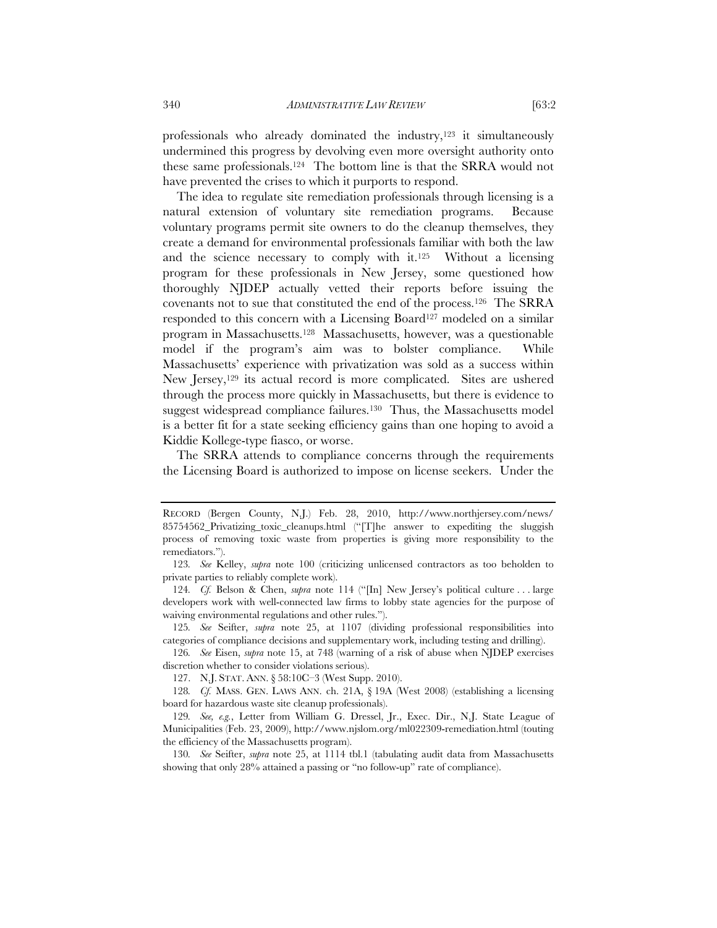professionals who already dominated the industry,<sup>123</sup> it simultaneously undermined this progress by devolving even more oversight authority onto these same professionals.124 The bottom line is that the SRRA would not have prevented the crises to which it purports to respond.

The idea to regulate site remediation professionals through licensing is a natural extension of voluntary site remediation programs. Because voluntary programs permit site owners to do the cleanup themselves, they create a demand for environmental professionals familiar with both the law and the science necessary to comply with it.125 Without a licensing program for these professionals in New Jersey, some questioned how thoroughly NJDEP actually vetted their reports before issuing the covenants not to sue that constituted the end of the process.126 The SRRA responded to this concern with a Licensing Board<sup>127</sup> modeled on a similar program in Massachusetts.128 Massachusetts, however, was a questionable model if the program's aim was to bolster compliance. While Massachusetts' experience with privatization was sold as a success within New Jersey,<sup>129</sup> its actual record is more complicated. Sites are ushered through the process more quickly in Massachusetts, but there is evidence to suggest widespread compliance failures.<sup>130</sup> Thus, the Massachusetts model is a better fit for a state seeking efficiency gains than one hoping to avoid a Kiddie Kollege-type fiasco, or worse.

The SRRA attends to compliance concerns through the requirements the Licensing Board is authorized to impose on license seekers. Under the

RECORD (Bergen County, N.J.) Feb. 28, 2010, http://www.northjersey.com/news/ 85754562\_Privatizing\_toxic\_cleanups.html ("[T]he answer to expediting the sluggish process of removing toxic waste from properties is giving more responsibility to the remediators.").

<sup>123</sup>*. See* Kelley, *supra* note 100 (criticizing unlicensed contractors as too beholden to private parties to reliably complete work).

<sup>124</sup>*. Cf.* Belson & Chen, *supra* note 114 ("[In] New Jersey's political culture . . . large developers work with well-connected law firms to lobby state agencies for the purpose of waiving environmental regulations and other rules.").

<sup>125</sup>*. See* Seifter, *supra* note 25, at 1107 (dividing professional responsibilities into categories of compliance decisions and supplementary work, including testing and drilling).

<sup>126</sup>*. See* Eisen, *supra* note 15, at 748 (warning of a risk of abuse when NJDEP exercises discretion whether to consider violations serious).

 <sup>127.</sup> N.J. STAT. ANN. § 58:10C–3 (West Supp. 2010).

<sup>128</sup>*. Cf.* MASS. GEN. LAWS ANN. ch. 21A, § 19A (West 2008) (establishing a licensing board for hazardous waste site cleanup professionals).

<sup>129</sup>*. See, e.g.*, Letter from William G. Dressel, Jr., Exec. Dir., N.J. State League of Municipalities (Feb. 23, 2009), http://www.njslom.org/ml022309-remediation.html (touting the efficiency of the Massachusetts program).

<sup>130</sup>*. See* Seifter, *supra* note 25, at 1114 tbl.1 (tabulating audit data from Massachusetts showing that only 28% attained a passing or "no follow-up" rate of compliance).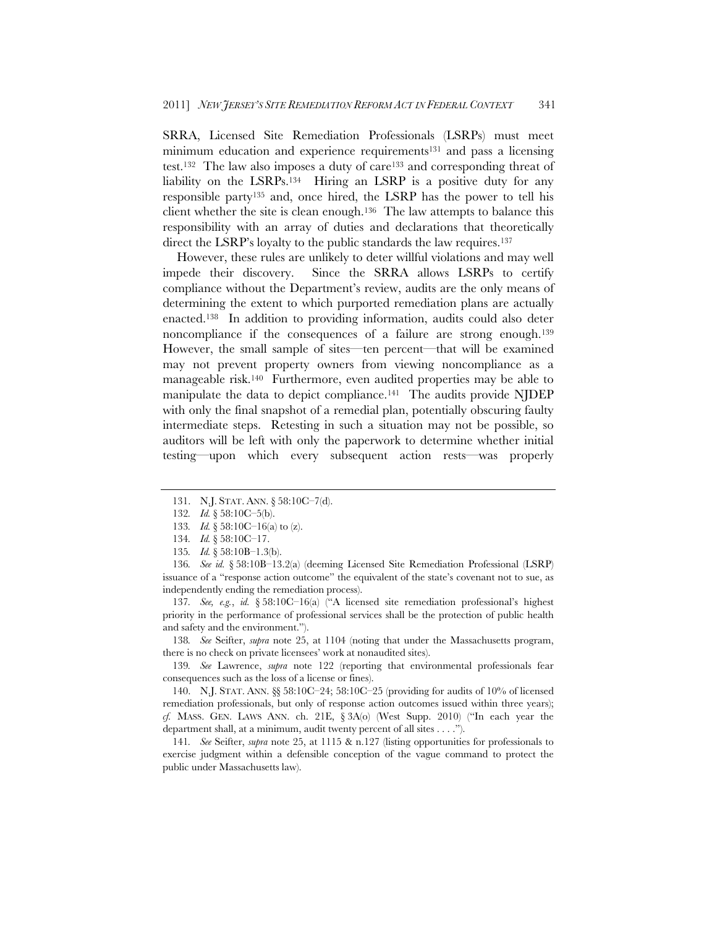SRRA, Licensed Site Remediation Professionals (LSRPs) must meet minimum education and experience requirements<sup>131</sup> and pass a licensing test.132 The law also imposes a duty of care133 and corresponding threat of liability on the LSRPs.<sup>134</sup> Hiring an LSRP is a positive duty for any responsible party135 and, once hired, the LSRP has the power to tell his client whether the site is clean enough.136 The law attempts to balance this responsibility with an array of duties and declarations that theoretically direct the LSRP's loyalty to the public standards the law requires.<sup>137</sup>

However, these rules are unlikely to deter willful violations and may well impede their discovery. Since the SRRA allows LSRPs to certify compliance without the Department's review, audits are the only means of determining the extent to which purported remediation plans are actually enacted.138 In addition to providing information, audits could also deter noncompliance if the consequences of a failure are strong enough.139 However, the small sample of sites—ten percent—that will be examined may not prevent property owners from viewing noncompliance as a manageable risk.140 Furthermore, even audited properties may be able to manipulate the data to depict compliance.<sup>141</sup> The audits provide NJDEP with only the final snapshot of a remedial plan, potentially obscuring faulty intermediate steps. Retesting in such a situation may not be possible, so auditors will be left with only the paperwork to determine whether initial testing—upon which every subsequent action rests—was properly

136*. See id.* § 58:10B–13.2(a) (deeming Licensed Site Remediation Professional (LSRP) issuance of a "response action outcome" the equivalent of the state's covenant not to sue, as independently ending the remediation process).

137*. See, e.g.*, *id.* § 58:10C–16(a) ("A licensed site remediation professional's highest priority in the performance of professional services shall be the protection of public health and safety and the environment.").

138*. See* Seifter, *supra* note 25, at 1104 (noting that under the Massachusetts program, there is no check on private licensees' work at nonaudited sites).

139*. See* Lawrence, *supra* note 122 (reporting that environmental professionals fear consequences such as the loss of a license or fines).

 140. N.J. STAT. ANN. §§ 58:10C–24; 58:10C–25 (providing for audits of 10% of licensed remediation professionals, but only of response action outcomes issued within three years); *cf.* MASS. GEN. LAWS ANN. ch. 21E, § 3A(o) (West Supp. 2010) ("In each year the department shall, at a minimum, audit twenty percent of all sites . . . .").

141*. See* Seifter, *supra* note 25, at 1115 & n.127 (listing opportunities for professionals to exercise judgment within a defensible conception of the vague command to protect the public under Massachusetts law).

 <sup>131.</sup> N.J. STAT. ANN. § 58:10C–7(d).

<sup>132</sup>*. Id.* § 58:10C–5(b).

<sup>133</sup>*. Id.* § 58:10C–16(a) to (z).

<sup>134</sup>*. Id.* § 58:10C–17.

<sup>135</sup>*. Id.* § 58:10B–1.3(b).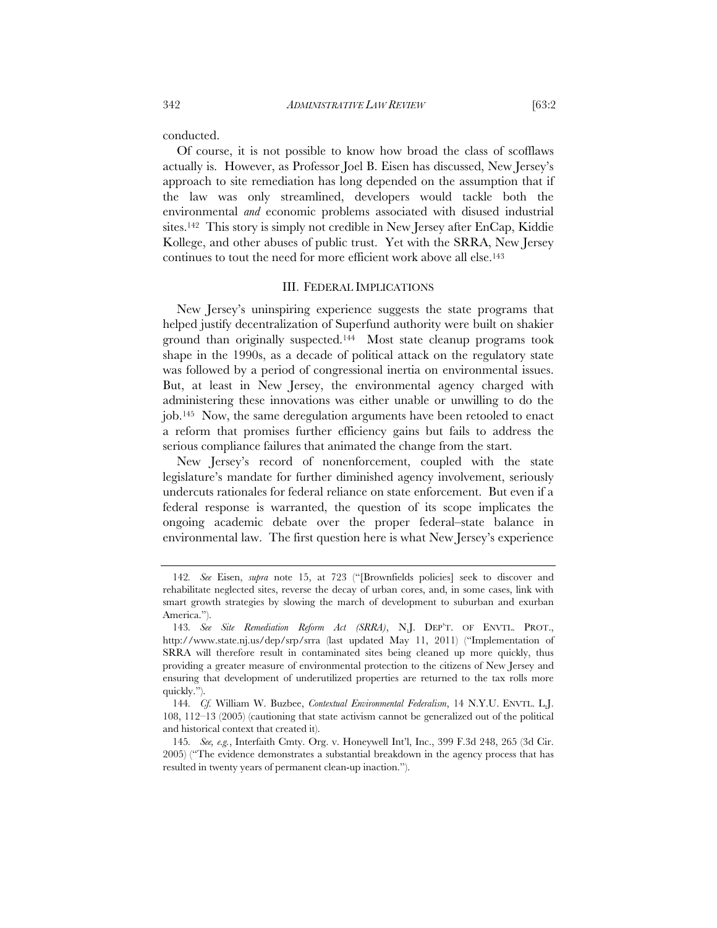conducted.

Of course, it is not possible to know how broad the class of scofflaws actually is. However, as Professor Joel B. Eisen has discussed, New Jersey's approach to site remediation has long depended on the assumption that if the law was only streamlined, developers would tackle both the environmental *and* economic problems associated with disused industrial sites.142 This story is simply not credible in New Jersey after EnCap, Kiddie Kollege, and other abuses of public trust. Yet with the SRRA, New Jersey continues to tout the need for more efficient work above all else.143

#### III. FEDERAL IMPLICATIONS

New Jersey's uninspiring experience suggests the state programs that helped justify decentralization of Superfund authority were built on shakier ground than originally suspected.144 Most state cleanup programs took shape in the 1990s, as a decade of political attack on the regulatory state was followed by a period of congressional inertia on environmental issues. But, at least in New Jersey, the environmental agency charged with administering these innovations was either unable or unwilling to do the job.145 Now, the same deregulation arguments have been retooled to enact a reform that promises further efficiency gains but fails to address the serious compliance failures that animated the change from the start.

New Jersey's record of nonenforcement, coupled with the state legislature's mandate for further diminished agency involvement, seriously undercuts rationales for federal reliance on state enforcement. But even if a federal response is warranted, the question of its scope implicates the ongoing academic debate over the proper federal–state balance in environmental law. The first question here is what New Jersey's experience

<sup>142</sup>*. See* Eisen, *supra* note 15, at 723 ("[Brownfields policies] seek to discover and rehabilitate neglected sites, reverse the decay of urban cores, and, in some cases, link with smart growth strategies by slowing the march of development to suburban and exurban America.").

<sup>143</sup>*. See Site Remediation Reform Act (SRRA)*, N.J. DEP'T. OF ENVTL. PROT., http://www.state.nj.us/dep/srp/srra (last updated May 11, 2011) ("Implementation of SRRA will therefore result in contaminated sites being cleaned up more quickly, thus providing a greater measure of environmental protection to the citizens of New Jersey and ensuring that development of underutilized properties are returned to the tax rolls more quickly.").

<sup>144</sup>*. Cf.* William W. Buzbee, *Contextual Environmental Federalism*, 14 N.Y.U. ENVTL. L.J. 108, 112–13 (2005) (cautioning that state activism cannot be generalized out of the political and historical context that created it).

<sup>145</sup>*. See, e.g.*, Interfaith Cmty. Org. v. Honeywell Int'l, Inc., 399 F.3d 248, 265 (3d Cir. 2005) ("The evidence demonstrates a substantial breakdown in the agency process that has resulted in twenty years of permanent clean-up inaction.").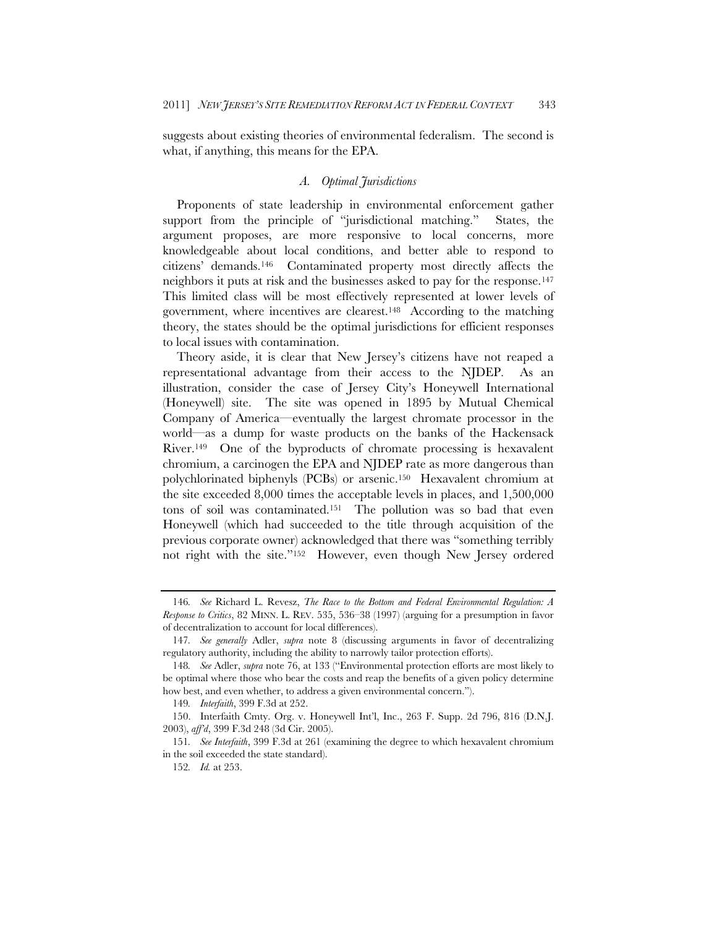suggests about existing theories of environmental federalism. The second is what, if anything, this means for the EPA.

#### *A. Optimal Jurisdictions*

Proponents of state leadership in environmental enforcement gather support from the principle of "jurisdictional matching." States, the argument proposes, are more responsive to local concerns, more knowledgeable about local conditions, and better able to respond to citizens' demands.146 Contaminated property most directly affects the neighbors it puts at risk and the businesses asked to pay for the response.147 This limited class will be most effectively represented at lower levels of government, where incentives are clearest.148 According to the matching theory, the states should be the optimal jurisdictions for efficient responses to local issues with contamination.

Theory aside, it is clear that New Jersey's citizens have not reaped a representational advantage from their access to the NJDEP. As an illustration, consider the case of Jersey City's Honeywell International (Honeywell) site. The site was opened in 1895 by Mutual Chemical Company of America—eventually the largest chromate processor in the world—as a dump for waste products on the banks of the Hackensack River.149 One of the byproducts of chromate processing is hexavalent chromium, a carcinogen the EPA and NJDEP rate as more dangerous than polychlorinated biphenyls (PCBs) or arsenic.150 Hexavalent chromium at the site exceeded 8,000 times the acceptable levels in places, and 1,500,000 tons of soil was contaminated.151 The pollution was so bad that even Honeywell (which had succeeded to the title through acquisition of the previous corporate owner) acknowledged that there was "something terribly not right with the site."152 However, even though New Jersey ordered

<sup>146</sup>*. See* Richard L. Revesz, *The Race to the Bottom and Federal Environmental Regulation: A Response to Critics*, 82 MINN. L. REV. 535, 536–38 (1997) (arguing for a presumption in favor of decentralization to account for local differences).

<sup>147</sup>*. See generally* Adler, *supra* note 8 (discussing arguments in favor of decentralizing regulatory authority, including the ability to narrowly tailor protection efforts).

<sup>148</sup>*. See* Adler, *supra* note 76, at 133 ("Environmental protection efforts are most likely to be optimal where those who bear the costs and reap the benefits of a given policy determine how best, and even whether, to address a given environmental concern.").

<sup>149</sup>*. Interfaith*, 399 F.3d at 252.

 <sup>150.</sup> Interfaith Cmty. Org. v. Honeywell Int'l, Inc., 263 F. Supp. 2d 796, 816 (D.N.J. 2003), *aff'd*, 399 F.3d 248 (3d Cir. 2005).

<sup>151</sup>*. See Interfaith*, 399 F.3d at 261 (examining the degree to which hexavalent chromium in the soil exceeded the state standard).

<sup>152</sup>*. Id.* at 253.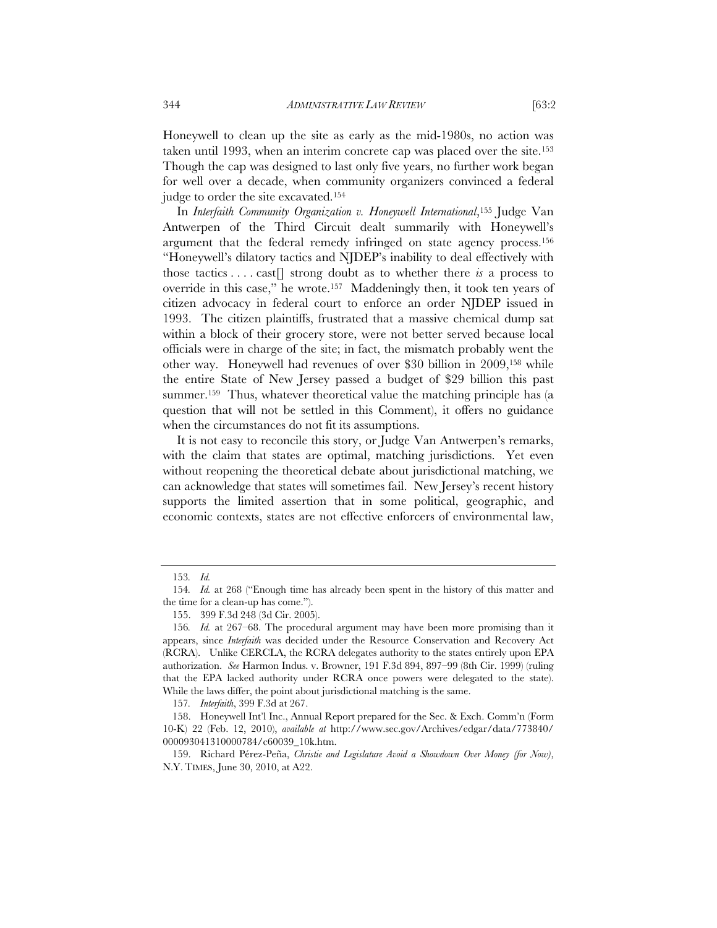Honeywell to clean up the site as early as the mid-1980s, no action was taken until 1993, when an interim concrete cap was placed over the site.153 Though the cap was designed to last only five years, no further work began for well over a decade, when community organizers convinced a federal judge to order the site excavated.154

In *Interfaith Community Organization v. Honeywell International*,155 Judge Van Antwerpen of the Third Circuit dealt summarily with Honeywell's argument that the federal remedy infringed on state agency process.156 "Honeywell's dilatory tactics and NJDEP's inability to deal effectively with those tactics . . . . cast[] strong doubt as to whether there *is* a process to override in this case," he wrote.157 Maddeningly then, it took ten years of citizen advocacy in federal court to enforce an order NJDEP issued in 1993. The citizen plaintiffs, frustrated that a massive chemical dump sat within a block of their grocery store, were not better served because local officials were in charge of the site; in fact, the mismatch probably went the other way. Honeywell had revenues of over \$30 billion in 2009,158 while the entire State of New Jersey passed a budget of \$29 billion this past summer.<sup>159</sup> Thus, whatever theoretical value the matching principle has (a question that will not be settled in this Comment), it offers no guidance when the circumstances do not fit its assumptions.

It is not easy to reconcile this story, or Judge Van Antwerpen's remarks, with the claim that states are optimal, matching jurisdictions. Yet even without reopening the theoretical debate about jurisdictional matching, we can acknowledge that states will sometimes fail. New Jersey's recent history supports the limited assertion that in some political, geographic, and economic contexts, states are not effective enforcers of environmental law,

<sup>153</sup>*. Id.*

<sup>154</sup>*. Id.* at 268 ("Enough time has already been spent in the history of this matter and the time for a clean-up has come.").

<sup>155. 399</sup> F.3d 248 (3d Cir. 2005).

<sup>156</sup>*. Id.* at 267–68. The procedural argument may have been more promising than it appears, since *Interfaith* was decided under the Resource Conservation and Recovery Act (RCRA). Unlike CERCLA, the RCRA delegates authority to the states entirely upon EPA authorization. *See* Harmon Indus. v. Browner, 191 F.3d 894, 897–99 (8th Cir. 1999) (ruling that the EPA lacked authority under RCRA once powers were delegated to the state). While the laws differ, the point about jurisdictional matching is the same.

<sup>157</sup>*. Interfaith*, 399 F.3d at 267.

 <sup>158.</sup> Honeywell Int'l Inc., Annual Report prepared for the Sec. & Exch. Comm'n (Form 10-K) 22 (Feb. 12, 2010), *available at* http://www.sec.gov/Archives/edgar/data/773840/ 000093041310000784/c60039\_10k.htm.

 <sup>159.</sup> Richard Pérez-Peña, *Christie and Legislature Avoid a Showdown Over Money (for Now)*, N.Y. TIMES, June 30, 2010, at A22.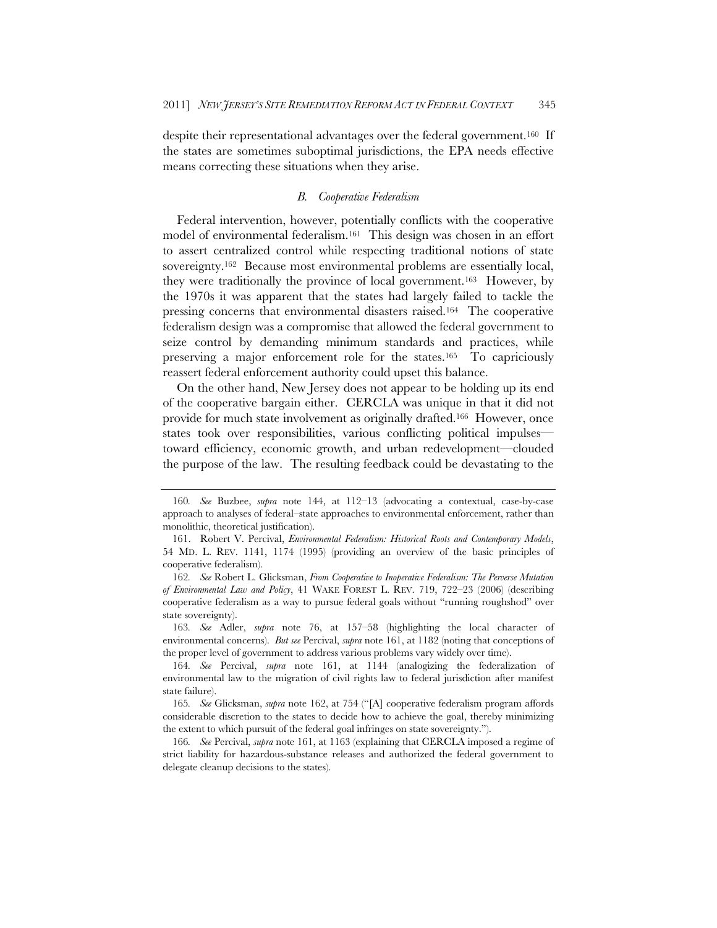despite their representational advantages over the federal government.<sup>160</sup> If the states are sometimes suboptimal jurisdictions, the EPA needs effective means correcting these situations when they arise.

#### *B. Cooperative Federalism*

Federal intervention, however, potentially conflicts with the cooperative model of environmental federalism.161 This design was chosen in an effort to assert centralized control while respecting traditional notions of state sovereignty.162 Because most environmental problems are essentially local, they were traditionally the province of local government.163 However, by the 1970s it was apparent that the states had largely failed to tackle the pressing concerns that environmental disasters raised.164 The cooperative federalism design was a compromise that allowed the federal government to seize control by demanding minimum standards and practices, while preserving a major enforcement role for the states.165 To capriciously reassert federal enforcement authority could upset this balance.

On the other hand, New Jersey does not appear to be holding up its end of the cooperative bargain either. CERCLA was unique in that it did not provide for much state involvement as originally drafted.166 However, once states took over responsibilities, various conflicting political impulses toward efficiency, economic growth, and urban redevelopment—clouded the purpose of the law. The resulting feedback could be devastating to the

<sup>160</sup>*. See* Buzbee, *supra* note 144, at 112–13 (advocating a contextual, case-by-case approach to analyses of federal–state approaches to environmental enforcement, rather than monolithic, theoretical justification).

 <sup>161.</sup> Robert V. Percival, *Environmental Federalism: Historical Roots and Contemporary Models*, 54 MD. L. REV. 1141, 1174 (1995) (providing an overview of the basic principles of cooperative federalism).

<sup>162</sup>*. See* Robert L. Glicksman, *From Cooperative to Inoperative Federalism: The Perverse Mutation of Environmental Law and Policy*, 41 WAKE FOREST L. REV. 719, 722–23 (2006) (describing cooperative federalism as a way to pursue federal goals without "running roughshod" over state sovereignty).

<sup>163</sup>*. See* Adler, *supra* note 76, at 157–58 (highlighting the local character of environmental concerns). *But see* Percival, *supra* note 161, at 1182 (noting that conceptions of the proper level of government to address various problems vary widely over time).

<sup>164</sup>*. See* Percival, *supra* note 161, at 1144 (analogizing the federalization of environmental law to the migration of civil rights law to federal jurisdiction after manifest state failure).

<sup>165</sup>*. See* Glicksman, *supra* note 162, at 754 ("[A] cooperative federalism program affords considerable discretion to the states to decide how to achieve the goal, thereby minimizing the extent to which pursuit of the federal goal infringes on state sovereignty.").

<sup>166</sup>*. See* Percival, *supra* note 161, at 1163 (explaining that CERCLA imposed a regime of strict liability for hazardous-substance releases and authorized the federal government to delegate cleanup decisions to the states).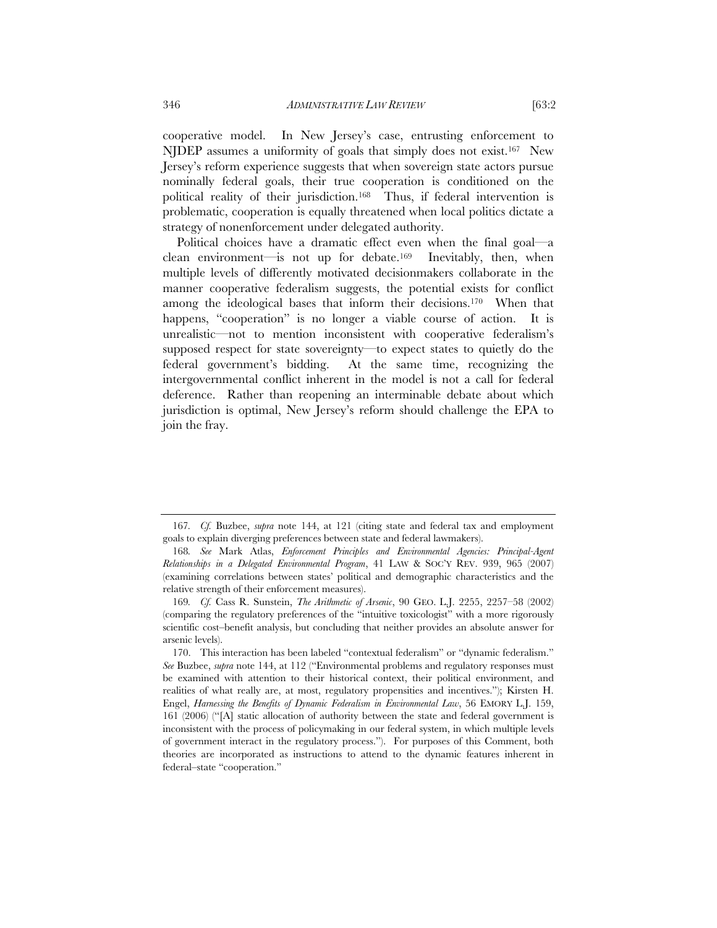cooperative model. In New Jersey's case, entrusting enforcement to NJDEP assumes a uniformity of goals that simply does not exist.<sup>167</sup> New Jersey's reform experience suggests that when sovereign state actors pursue nominally federal goals, their true cooperation is conditioned on the political reality of their jurisdiction.168 Thus, if federal intervention is problematic, cooperation is equally threatened when local politics dictate a strategy of nonenforcement under delegated authority.

Political choices have a dramatic effect even when the final goal—a clean environment—is not up for debate.169 Inevitably, then, when multiple levels of differently motivated decisionmakers collaborate in the manner cooperative federalism suggests, the potential exists for conflict among the ideological bases that inform their decisions.170 When that happens, "cooperation" is no longer a viable course of action. It is unrealistic—not to mention inconsistent with cooperative federalism's supposed respect for state sovereignty—to expect states to quietly do the federal government's bidding. At the same time, recognizing the intergovernmental conflict inherent in the model is not a call for federal deference. Rather than reopening an interminable debate about which jurisdiction is optimal, New Jersey's reform should challenge the EPA to join the fray.

<sup>167</sup>*. Cf.* Buzbee, *supra* note 144, at 121 (citing state and federal tax and employment goals to explain diverging preferences between state and federal lawmakers).

<sup>168</sup>*. See* Mark Atlas, *Enforcement Principles and Environmental Agencies: Principal-Agent Relationships in a Delegated Environmental Program*, 41 LAW & SOC'Y REV. 939, 965 (2007) (examining correlations between states' political and demographic characteristics and the relative strength of their enforcement measures).

<sup>169</sup>*. Cf.* Cass R. Sunstein, *The Arithmetic of Arsenic*, 90 GEO. L.J. 2255, 2257–58 (2002) (comparing the regulatory preferences of the "intuitive toxicologist" with a more rigorously scientific cost–benefit analysis, but concluding that neither provides an absolute answer for arsenic levels).

 <sup>170.</sup> This interaction has been labeled "contextual federalism" or "dynamic federalism." *See* Buzbee, *supra* note 144, at 112 ("Environmental problems and regulatory responses must be examined with attention to their historical context, their political environment, and realities of what really are, at most, regulatory propensities and incentives."); Kirsten H. Engel, *Harnessing the Benefits of Dynamic Federalism in Environmental Law*, 56 EMORY L.J. 159, 161 (2006) ("[A] static allocation of authority between the state and federal government is inconsistent with the process of policymaking in our federal system, in which multiple levels of government interact in the regulatory process."). For purposes of this Comment, both theories are incorporated as instructions to attend to the dynamic features inherent in federal–state "cooperation."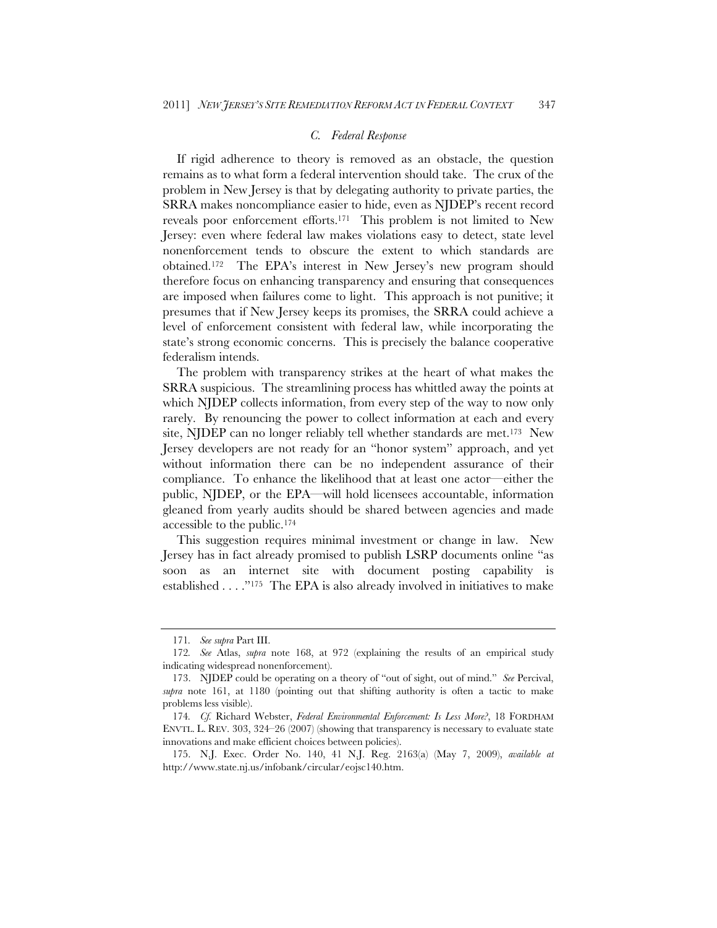#### *C. Federal Response*

If rigid adherence to theory is removed as an obstacle, the question remains as to what form a federal intervention should take. The crux of the problem in New Jersey is that by delegating authority to private parties, the SRRA makes noncompliance easier to hide, even as NJDEP's recent record reveals poor enforcement efforts.171 This problem is not limited to New Jersey: even where federal law makes violations easy to detect, state level nonenforcement tends to obscure the extent to which standards are obtained.172 The EPA's interest in New Jersey's new program should therefore focus on enhancing transparency and ensuring that consequences are imposed when failures come to light. This approach is not punitive; it presumes that if New Jersey keeps its promises, the SRRA could achieve a level of enforcement consistent with federal law, while incorporating the state's strong economic concerns. This is precisely the balance cooperative federalism intends.

The problem with transparency strikes at the heart of what makes the SRRA suspicious. The streamlining process has whittled away the points at which NJDEP collects information, from every step of the way to now only rarely. By renouncing the power to collect information at each and every site, NJDEP can no longer reliably tell whether standards are met.173 New Jersey developers are not ready for an "honor system" approach, and yet without information there can be no independent assurance of their compliance. To enhance the likelihood that at least one actor—either the public, NJDEP, or the EPA—will hold licensees accountable, information gleaned from yearly audits should be shared between agencies and made accessible to the public.174

This suggestion requires minimal investment or change in law. New Jersey has in fact already promised to publish LSRP documents online "as soon as an internet site with document posting capability is established . . . ."175 The EPA is also already involved in initiatives to make

<sup>171</sup>*. See supra* Part III.

<sup>172</sup>*. See* Atlas, *supra* note 168, at 972 (explaining the results of an empirical study indicating widespread nonenforcement).

<sup>173.</sup> NJDEP could be operating on a theory of "out of sight, out of mind." *See* Percival, *supra* note 161, at 1180 (pointing out that shifting authority is often a tactic to make problems less visible).

<sup>174</sup>*. Cf.* Richard Webster, *Federal Environmental Enforcement: Is Less More?*, 18 FORDHAM ENVTL. L. REV. 303, 324–26 (2007) (showing that transparency is necessary to evaluate state innovations and make efficient choices between policies).

 <sup>175.</sup> N.J. Exec. Order No. 140, 41 N.J. Reg. 2163(a) (May 7, 2009), *available at* http://www.state.nj.us/infobank/circular/eojsc140.htm.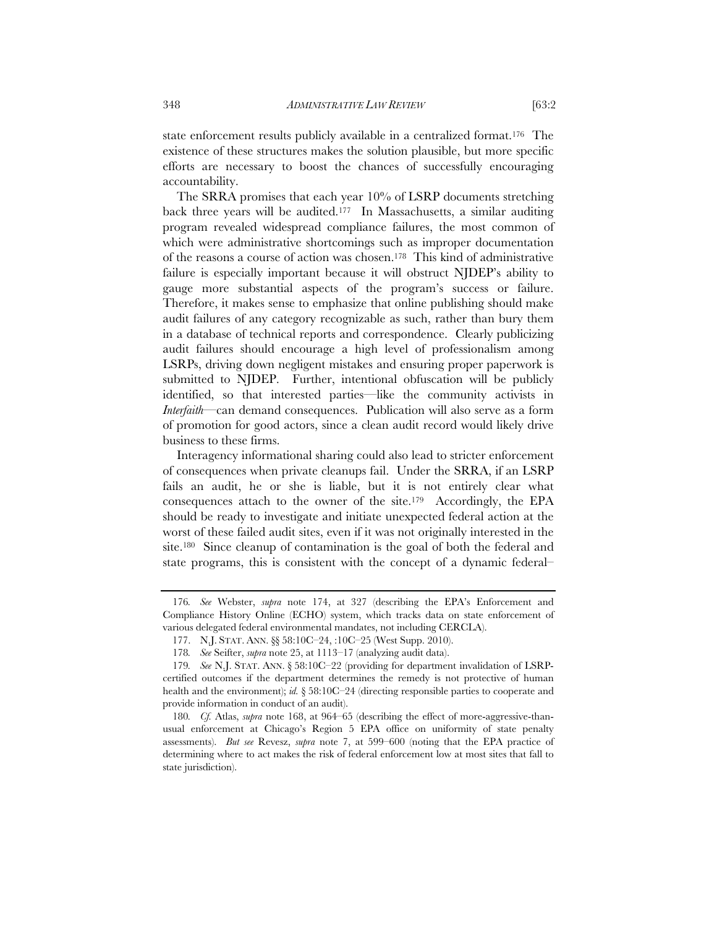state enforcement results publicly available in a centralized format.<sup>176</sup> The existence of these structures makes the solution plausible, but more specific efforts are necessary to boost the chances of successfully encouraging accountability.

The SRRA promises that each year 10% of LSRP documents stretching back three years will be audited.177 In Massachusetts, a similar auditing program revealed widespread compliance failures, the most common of which were administrative shortcomings such as improper documentation of the reasons a course of action was chosen.178 This kind of administrative failure is especially important because it will obstruct NJDEP's ability to gauge more substantial aspects of the program's success or failure. Therefore, it makes sense to emphasize that online publishing should make audit failures of any category recognizable as such, rather than bury them in a database of technical reports and correspondence. Clearly publicizing audit failures should encourage a high level of professionalism among LSRPs, driving down negligent mistakes and ensuring proper paperwork is submitted to NJDEP. Further, intentional obfuscation will be publicly identified, so that interested parties—like the community activists in *Interfaith*—can demand consequences. Publication will also serve as a form of promotion for good actors, since a clean audit record would likely drive business to these firms.

Interagency informational sharing could also lead to stricter enforcement of consequences when private cleanups fail. Under the SRRA, if an LSRP fails an audit, he or she is liable, but it is not entirely clear what consequences attach to the owner of the site.179 Accordingly, the EPA should be ready to investigate and initiate unexpected federal action at the worst of these failed audit sites, even if it was not originally interested in the site.180 Since cleanup of contamination is the goal of both the federal and state programs, this is consistent with the concept of a dynamic federal–

<sup>176</sup>*. See* Webster, *supra* note 174, at 327 (describing the EPA's Enforcement and Compliance History Online (ECHO) system, which tracks data on state enforcement of various delegated federal environmental mandates, not including CERCLA).

 <sup>177.</sup> N.J. STAT. ANN. §§ 58:10C–24, :10C–25 (West Supp. 2010).

<sup>178</sup>*. See* Seifter, *supra* note 25, at 1113–17 (analyzing audit data).

<sup>179</sup>*. See* N.J. STAT. ANN. § 58:10C–22 (providing for department invalidation of LSRPcertified outcomes if the department determines the remedy is not protective of human health and the environment); *id.* § 58:10C–24 (directing responsible parties to cooperate and provide information in conduct of an audit).

<sup>180</sup>*. Cf.* Atlas, *supra* note 168, at 964–65 (describing the effect of more-aggressive-thanusual enforcement at Chicago's Region 5 EPA office on uniformity of state penalty assessments). *But see* Revesz, *supra* note 7, at 599–600 (noting that the EPA practice of determining where to act makes the risk of federal enforcement low at most sites that fall to state jurisdiction).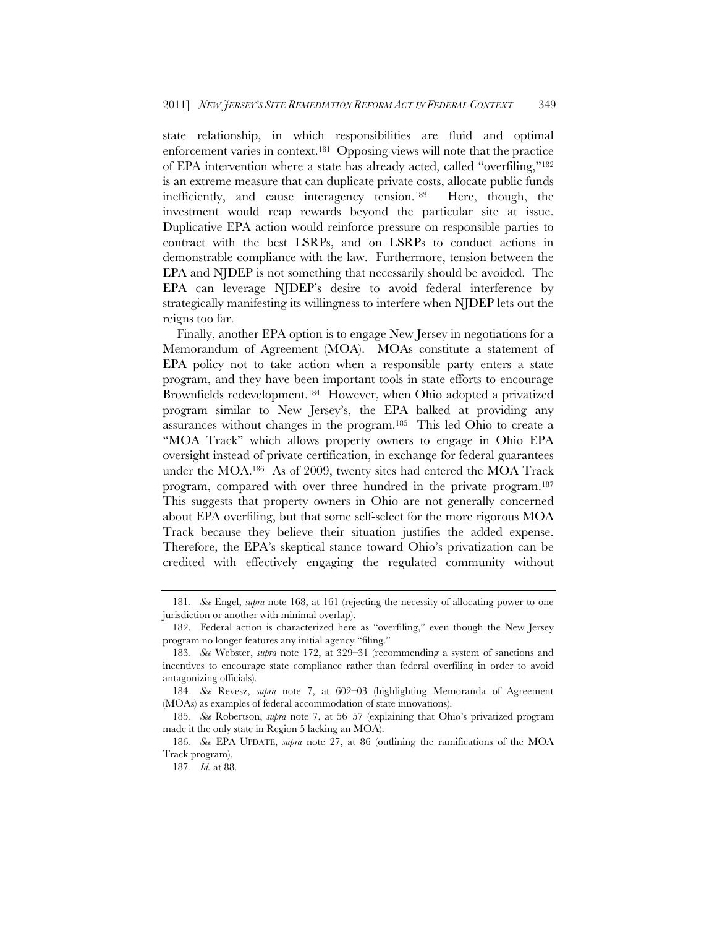state relationship, in which responsibilities are fluid and optimal enforcement varies in context.181 Opposing views will note that the practice of EPA intervention where a state has already acted, called "overfiling,"182 is an extreme measure that can duplicate private costs, allocate public funds inefficiently, and cause interagency tension.183 Here, though, the investment would reap rewards beyond the particular site at issue. Duplicative EPA action would reinforce pressure on responsible parties to contract with the best LSRPs, and on LSRPs to conduct actions in demonstrable compliance with the law. Furthermore, tension between the EPA and NJDEP is not something that necessarily should be avoided. The EPA can leverage NJDEP's desire to avoid federal interference by strategically manifesting its willingness to interfere when NJDEP lets out the reigns too far.

Finally, another EPA option is to engage New Jersey in negotiations for a Memorandum of Agreement (MOA). MOAs constitute a statement of EPA policy not to take action when a responsible party enters a state program, and they have been important tools in state efforts to encourage Brownfields redevelopment.184 However, when Ohio adopted a privatized program similar to New Jersey's, the EPA balked at providing any assurances without changes in the program.185 This led Ohio to create a "MOA Track" which allows property owners to engage in Ohio EPA oversight instead of private certification, in exchange for federal guarantees under the MOA.186 As of 2009, twenty sites had entered the MOA Track program, compared with over three hundred in the private program.187 This suggests that property owners in Ohio are not generally concerned about EPA overfiling, but that some self-select for the more rigorous MOA Track because they believe their situation justifies the added expense. Therefore, the EPA's skeptical stance toward Ohio's privatization can be credited with effectively engaging the regulated community without

<sup>181</sup>*. See* Engel, *supra* note 168, at 161 (rejecting the necessity of allocating power to one jurisdiction or another with minimal overlap).

 <sup>182.</sup> Federal action is characterized here as "overfiling," even though the New Jersey program no longer features any initial agency "filing."

<sup>183</sup>*. See* Webster, *supra* note 172, at 329–31 (recommending a system of sanctions and incentives to encourage state compliance rather than federal overfiling in order to avoid antagonizing officials).

<sup>184</sup>*. See* Revesz, *supra* note 7, at 602–03 (highlighting Memoranda of Agreement (MOAs) as examples of federal accommodation of state innovations).

<sup>185</sup>*. See* Robertson, *supra* note 7, at 56–57 (explaining that Ohio's privatized program made it the only state in Region 5 lacking an MOA).

<sup>186</sup>*. See* EPA UPDATE, *supra* note 27, at 86 (outlining the ramifications of the MOA Track program).

<sup>187</sup>*. Id.* at 88.